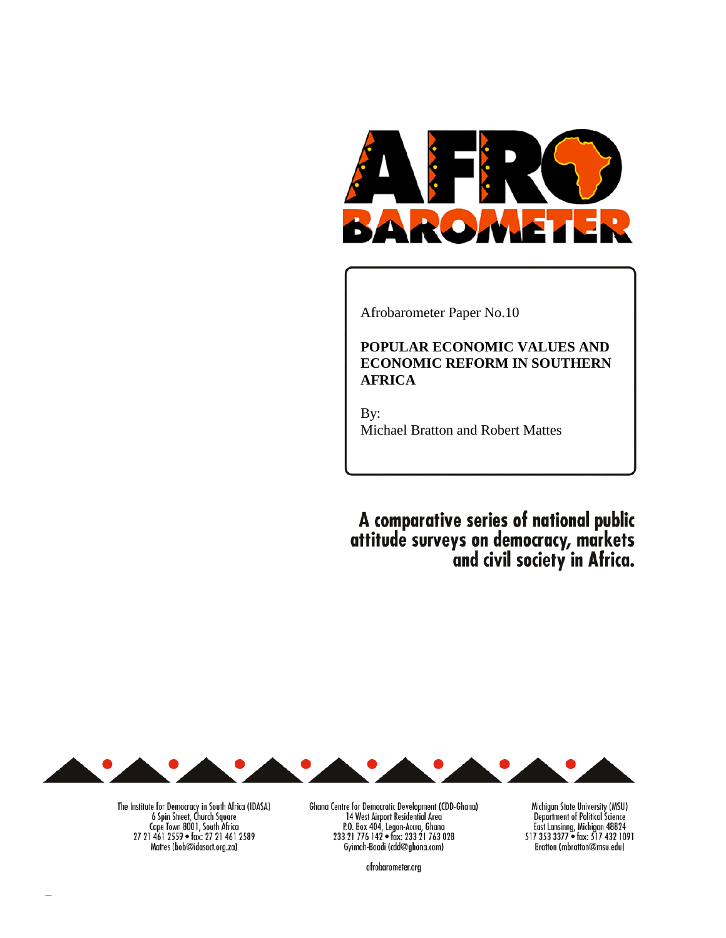

Afrobarometer Paper No.10

# **POPULAR ECONOMIC VALUES AND ECONOMIC REFORM IN SOUTHERN AFRICA**

By: Michael Bratton and Robert Mattes

A comparative series of national public<br>attitude surveys on democracy, markets<br>and civil society in Africa.



Ghana Centre for Democratic Development (CDD-Ghana) 14 West Airport Residential Area<br>
23 21 776 142 • fax: 233 21 763 028<br>
Cyimah-Boadi (cdd@ghana.com)

Michigan State University (MSU) Department of Political Science East Lansinng, Michigan 48824<br>517 353 3377 • fax: 517 432 1091 Bratton (mbratton@msu.edu)

afrobarometer.org

The Institute for Democracy in South Africa (IDASA)<br>6 Spin Street, Church Square Cape Town 8001, South Africa<br>27 21 461 2559 • fax: 27 21 461 2589 Mattes (bob@idasact.org.za)

 $\mathbf{L} \times \mathbf{C}$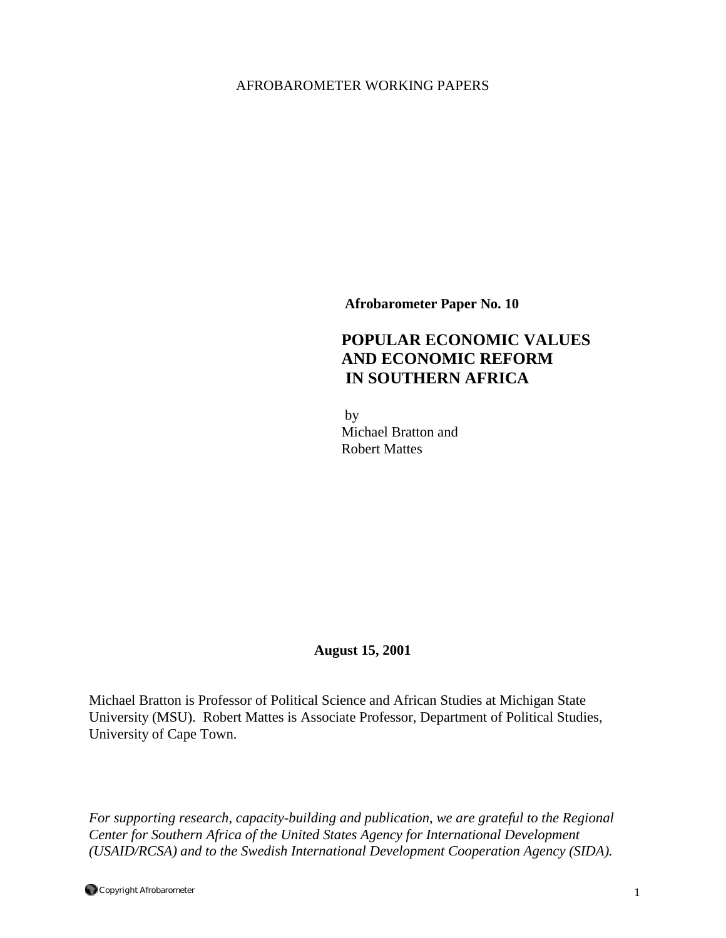# AFROBAROMETER WORKING PAPERS

**Afrobarometer Paper No. 10** 

# **POPULAR ECONOMIC VALUES AND ECONOMIC REFORM IN SOUTHERN AFRICA**

 by Michael Bratton and Robert Mattes

# **August 15, 2001**

Michael Bratton is Professor of Political Science and African Studies at Michigan State University (MSU). Robert Mattes is Associate Professor, Department of Political Studies, University of Cape Town.

*For supporting research, capacity-building and publication, we are grateful to the Regional Center for Southern Africa of the United States Agency for International Development (USAID/RCSA) and to the Swedish International Development Cooperation Agency (SIDA).*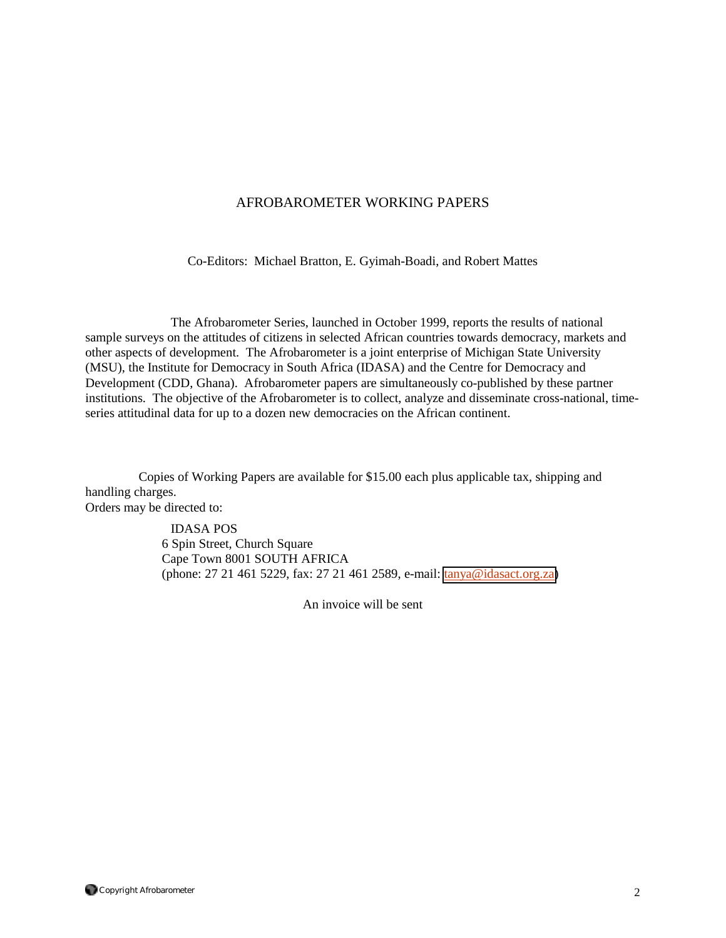## AFROBAROMETER WORKING PAPERS

Co-Editors: Michael Bratton, E. Gyimah-Boadi, and Robert Mattes

 The Afrobarometer Series, launched in October 1999, reports the results of national sample surveys on the attitudes of citizens in selected African countries towards democracy, markets and other aspects of development. The Afrobarometer is a joint enterprise of Michigan State University (MSU), the Institute for Democracy in South Africa (IDASA) and the Centre for Democracy and Development (CDD, Ghana). Afrobarometer papers are simultaneously co-published by these partner institutions. The objective of the Afrobarometer is to collect, analyze and disseminate cross-national, timeseries attitudinal data for up to a dozen new democracies on the African continent.

Copies of Working Papers are available for \$15.00 each plus applicable tax, shipping and handling charges. Orders may be directed to:

> IDASA POS 6 Spin Street, Church Square Cape Town 8001 SOUTH AFRICA (phone: 27 21 461 5229, fax: 27 21 461 2589, e-mail: [tanya@idasact.org.za\)](mailto: tanya@idasact.org.za)

> > An invoice will be sent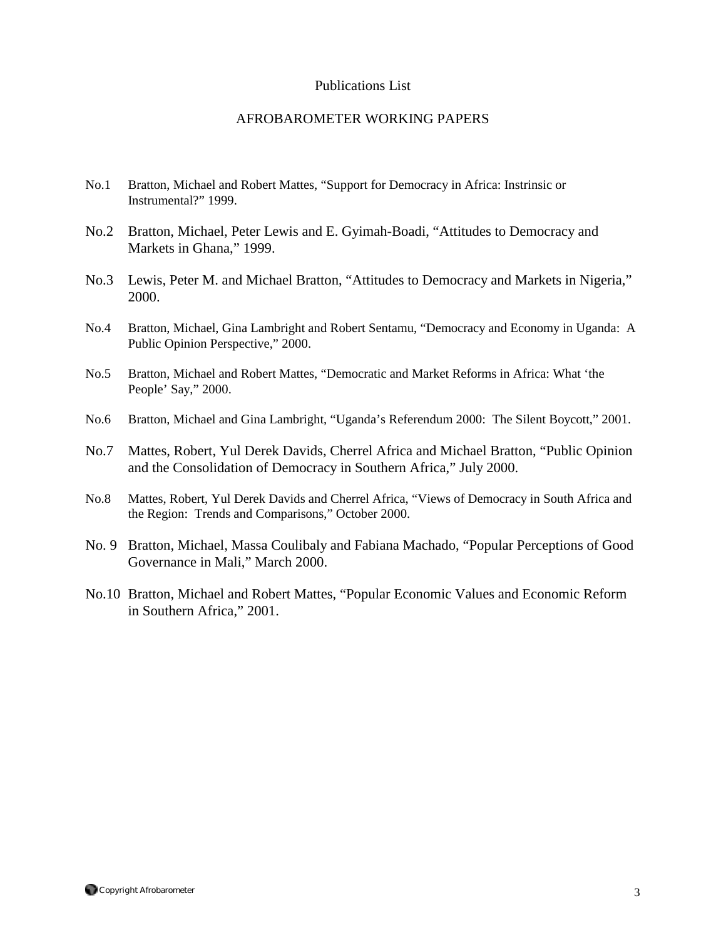### Publications List

### AFROBAROMETER WORKING PAPERS

- No.1 Bratton, Michael and Robert Mattes, "Support for Democracy in Africa: Instrinsic or Instrumental?" 1999.
- No.2 Bratton, Michael, Peter Lewis and E. Gyimah-Boadi, "Attitudes to Democracy and Markets in Ghana," 1999.
- No.3 Lewis, Peter M. and Michael Bratton, "Attitudes to Democracy and Markets in Nigeria," 2000.
- No.4 Bratton, Michael, Gina Lambright and Robert Sentamu, "Democracy and Economy in Uganda: A Public Opinion Perspective," 2000.
- No.5 Bratton, Michael and Robert Mattes, "Democratic and Market Reforms in Africa: What 'the People' Say," 2000.
- No.6 Bratton, Michael and Gina Lambright, "Uganda's Referendum 2000: The Silent Boycott," 2001.
- No.7 Mattes, Robert, Yul Derek Davids, Cherrel Africa and Michael Bratton, "Public Opinion and the Consolidation of Democracy in Southern Africa," July 2000.
- No.8 Mattes, Robert, Yul Derek Davids and Cherrel Africa, "Views of Democracy in South Africa and the Region: Trends and Comparisons," October 2000.
- No. 9 Bratton, Michael, Massa Coulibaly and Fabiana Machado, "Popular Perceptions of Good Governance in Mali," March 2000.
- No.10 Bratton, Michael and Robert Mattes, "Popular Economic Values and Economic Reform in Southern Africa," 2001.

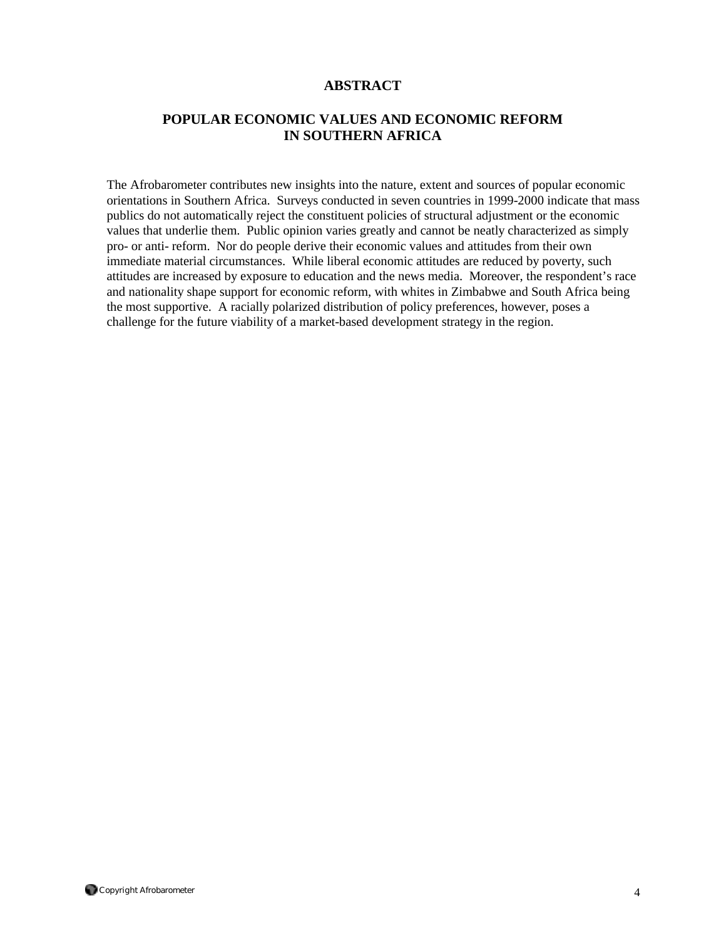## **ABSTRACT**

# **POPULAR ECONOMIC VALUES AND ECONOMIC REFORM IN SOUTHERN AFRICA**

The Afrobarometer contributes new insights into the nature, extent and sources of popular economic orientations in Southern Africa. Surveys conducted in seven countries in 1999-2000 indicate that mass publics do not automatically reject the constituent policies of structural adjustment or the economic values that underlie them. Public opinion varies greatly and cannot be neatly characterized as simply pro- or anti- reform. Nor do people derive their economic values and attitudes from their own immediate material circumstances. While liberal economic attitudes are reduced by poverty, such attitudes are increased by exposure to education and the news media. Moreover, the respondent's race and nationality shape support for economic reform, with whites in Zimbabwe and South Africa being the most supportive. A racially polarized distribution of policy preferences, however, poses a challenge for the future viability of a market-based development strategy in the region.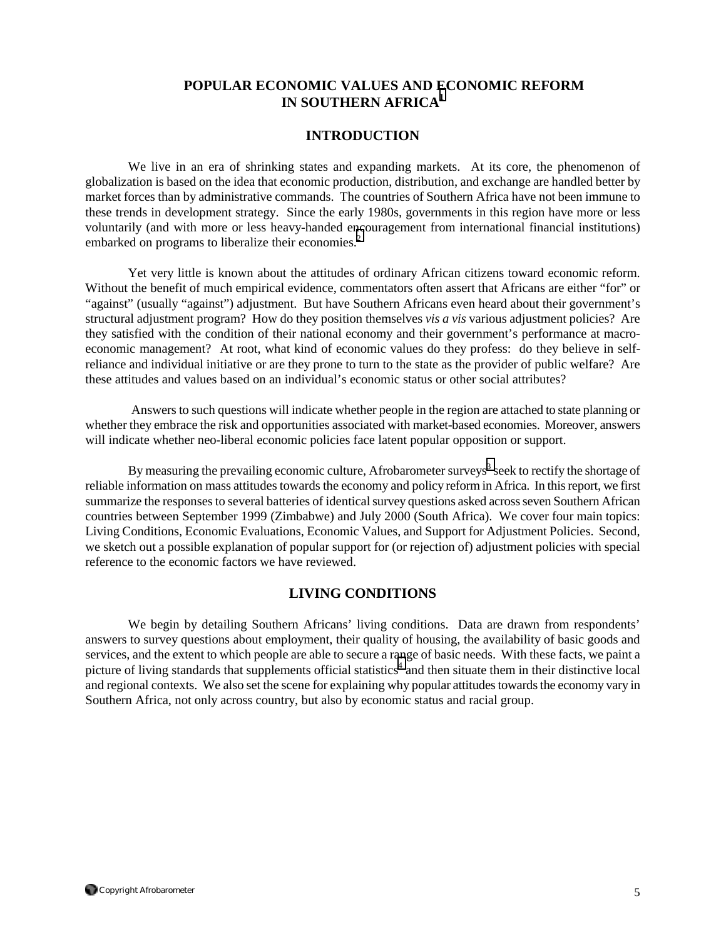# **POPULAR ECONOMIC VALUES AND ECONOMIC REFORM IN SOUTHERN AFRICA[1](#page-32-0)**

### **INTRODUCTION**

We live in an era of shrinking states and expanding markets. At its core, the phenomenon of globalization is based on the idea that economic production, distribution, and exchange are handled better by market forces than by administrative commands. The countries of Southern Africa have not been immune to these trends in development strategy. Since the early 1980s, governments in this region have more or less voluntarily (and with more or less heavy-handed e[nc](#page-32-0)ouragement from international financial institutions) embarked on programs to liberalize their economies.<sup>2</sup>

Yet very little is known about the attitudes of ordinary African citizens toward economic reform. Without the benefit of much empirical evidence, commentators often assert that Africans are either "for" or "against" (usually "against") adjustment. But have Southern Africans even heard about their government's structural adjustment program? How do they position themselves *vis a vis* various adjustment policies? Are they satisfied with the condition of their national economy and their government's performance at macroeconomic management? At root, what kind of economic values do they profess: do they believe in selfreliance and individual initiative or are they prone to turn to the state as the provider of public welfare? Are these attitudes and values based on an individual's economic status or other social attributes?

 Answers to such questions will indicate whether people in the region are attached to state planning or whether they embrace the risk and opportunities associated with market-based economies. Moreover, answers will indicate whether neo-liberal economic policies face latent popular opposition or support.

By measuring the prevailing economic culture, Afrobarometer surveys<sup>[3](#page-32-0)</sup> seek to rectify the shortage of reliable information on mass attitudes towards the economy and policy reform in Africa. In this report, we first summarize the responses to several batteries of identical survey questions asked across seven Southern African countries between September 1999 (Zimbabwe) and July 2000 (South Africa). We cover four main topics: Living Conditions, Economic Evaluations, Economic Values, and Support for Adjustment Policies. Second, we sketch out a possible explanation of popular support for (or rejection of) adjustment policies with special reference to the economic factors we have reviewed.

# **LIVING CONDITIONS**

We begin by detailing Southern Africans' living conditions. Data are drawn from respondents' answers to survey questions about employment, their quality of housing, the availability of basic goods and services, and the extent to which people are able to secure a range of basic needs. With these facts, we paint a picture of living standards that supplements official statistics<sup>4</sup> and then situate them in their distinctive local and regional contexts. We also set the scene for explaining why popular attitudes towards the economy vary in Southern Africa, not only across country, but also by economic status and racial group.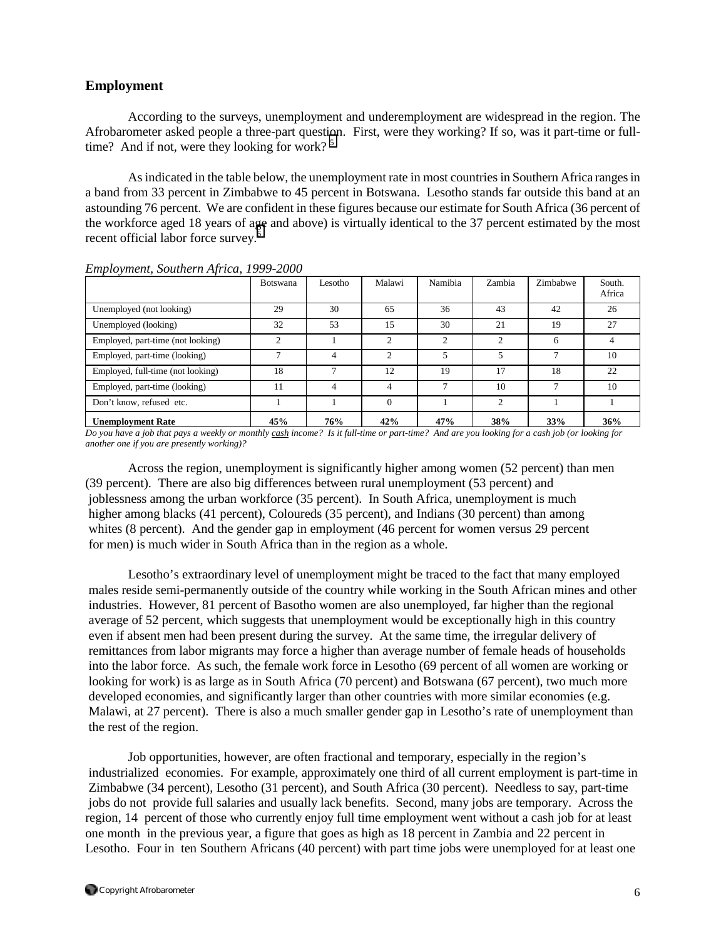### **Employment**

According to the surveys, unemployment and underemployment are widespread in the region. The Afrobarometer asked people a three-part question. First, were they working? If so, was it part-time or fulltime? And if not, were they looking for work?  $5$ 

As indicated in the table below, the unemployment rate in most countries in Southern Africa ranges in a band from 33 percent in Zimbabwe to 45 percent in Botswana. Lesotho stands far outside this band at an astounding 76 percent. We are confident in these figures because our estimate for South Africa (36 percent of the workforce aged 18 years of a[ge](#page-32-0) and above) is virtually identical to the 37 percent estimated by the most recent official labor force survey. $6$ 

|                                   | Botswana | Lesotho      | Malawi         | Namibia        | Zambia         | Zimbabwe | South.<br>Africa |
|-----------------------------------|----------|--------------|----------------|----------------|----------------|----------|------------------|
| Unemployed (not looking)          | 29       | 30           | 65             | 36             | 43             | 42       | 26               |
| Unemployed (looking)              | 32       | 53           | 15             | 30             | 21             | 19       | 27               |
| Employed, part-time (not looking) | ↑        |              | $\mathcal{L}$  | $\overline{2}$ | $\mathfrak{D}$ | 6        |                  |
| Employed, part-time (looking)     |          | 4            | $\mathfrak{D}$ | 5              | 5              |          | 10               |
| Employed, full-time (not looking) | 18       | $\mathbf{r}$ | 12             | 19             | 17             | 18       | 22               |
| Employed, part-time (looking)     | 11       | 4            | 4              | ⇁              | 10             |          | 10               |
| Don't know, refused etc.          |          |              | $\Omega$       |                | 2              |          |                  |
| <b>Unemployment Rate</b>          | 45%      | 76%          | 42%            | 47%            | 38%            | 33%      | 36%              |

*Employment, Southern Africa*, *1999-2000*

*Do you have a job that pays a weekly or monthly cash income? Is it full-time or part-time? And are you looking for a cash job (or looking for another one if you are presently working)?* 

 Across the region, unemployment is significantly higher among women (52 percent) than men (39 percent). There are also big differences between rural unemployment (53 percent) and joblessness among the urban workforce (35 percent). In South Africa, unemployment is much higher among blacks (41 percent), Coloureds (35 percent), and Indians (30 percent) than among whites (8 percent). And the gender gap in employment (46 percent for women versus 29 percent for men) is much wider in South Africa than in the region as a whole.

 Lesotho's extraordinary level of unemployment might be traced to the fact that many employed males reside semi-permanently outside of the country while working in the South African mines and other industries. However, 81 percent of Basotho women are also unemployed, far higher than the regional average of 52 percent, which suggests that unemployment would be exceptionally high in this country even if absent men had been present during the survey. At the same time, the irregular delivery of remittances from labor migrants may force a higher than average number of female heads of households into the labor force. As such, the female work force in Lesotho (69 percent of all women are working or looking for work) is as large as in South Africa (70 percent) and Botswana (67 percent), two much more developed economies, and significantly larger than other countries with more similar economies (e.g. Malawi, at 27 percent). There is also a much smaller gender gap in Lesotho's rate of unemployment than the rest of the region.

 Job opportunities, however, are often fractional and temporary, especially in the region's industrialized economies. For example, approximately one third of all current employment is part-time in Zimbabwe (34 percent), Lesotho (31 percent), and South Africa (30 percent). Needless to say, part-time jobs do not provide full salaries and usually lack benefits. Second, many jobs are temporary. Across the region, 14 percent of those who currently enjoy full time employment went without a cash job for at least one month in the previous year, a figure that goes as high as 18 percent in Zambia and 22 percent in Lesotho. Four in ten Southern Africans (40 percent) with part time jobs were unemployed for at least one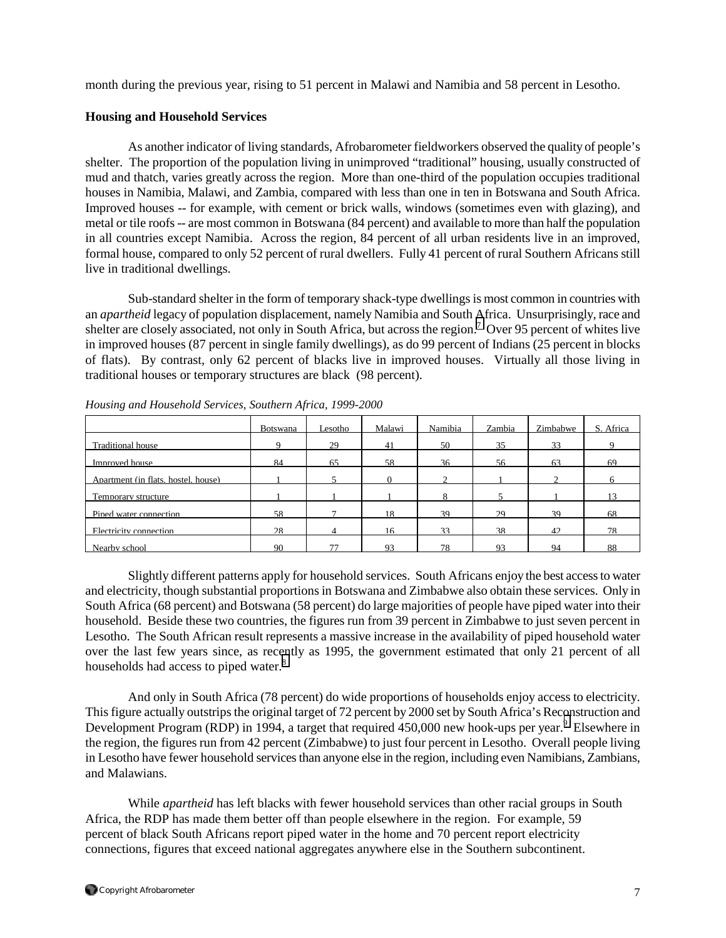month during the previous year, rising to 51 percent in Malawi and Namibia and 58 percent in Lesotho.

### **Housing and Household Services**

As another indicator of living standards, Afrobarometer fieldworkers observed the quality of people's shelter. The proportion of the population living in unimproved "traditional" housing, usually constructed of mud and thatch, varies greatly across the region. More than one-third of the population occupies traditional houses in Namibia, Malawi, and Zambia, compared with less than one in ten in Botswana and South Africa. Improved houses -- for example, with cement or brick walls, windows (sometimes even with glazing), and metal or tile roofs -- are most common in Botswana (84 percent) and available to more than half the population in all countries except Namibia. Across the region, 84 percent of all urban residents live in an improved, formal house, compared to only 52 percent of rural dwellers. Fully 41 percent of rural Southern Africans still live in traditional dwellings.

Sub-standard shelter in the form of temporary shack-type dwellings is most common in countries with an *apartheid* legacy of population displacement, namely Namibia and South Africa. Unsurprisingly, race and shelter are closely associated, not only in South Africa, but across the region.<sup>7</sup> Over 95 percent of whites live in improved houses (87 percent in single family dwellings), as do 99 percent of Indians (25 percent in blocks of flats). By contrast, only 62 percent of blacks live in improved houses. Virtually all those living in traditional houses or temporary structures are black (98 percent).

|                                     | <b>Botswana</b> | Lesotho- | Malawi   | Namibia | Zambia | Zimbabwe | S. Africa |
|-------------------------------------|-----------------|----------|----------|---------|--------|----------|-----------|
| Traditional house                   | 9               | 29       | 41       | 50      | 35     | 33       |           |
| Improved house                      | 84              | 65       | 58       | 36      | 56     | 63       | 69        |
| Anartment (in flats, hostel, house) |                 |          | $\Omega$ |         |        |          |           |
| Temporary structure                 |                 |          |          | 8       |        |          |           |
| Pined water connection              | 58              |          | 18       | 39      | 29     | 39       | 68        |
| Electricity connection              | 28              | Δ        | 16       | 33      | 38     | 42.      | 78        |
| Nearby school                       | 90              | 77       | 93       | 78      | 93     | 94       | 88        |

*Housing and Household Services, Southern Africa, 1999-2000* 

Slightly different patterns apply for household services. South Africans enjoy the best access to water and electricity, though substantial proportions in Botswana and Zimbabwe also obtain these services. Only in South Africa (68 percent) and Botswana (58 percent) do large majorities of people have piped water into their household. Beside these two countries, the figures run from 39 percent in Zimbabwe to just seven percent in Lesotho. The South African result represents a massive increase in the availability of piped household water over the last few years since, as recently as 1995, the government estimated that only 21 percent of all households had access to piped water. $8<sup>8</sup>$  $8<sup>8</sup>$ 

And only in South Africa (78 percent) do wide proportions of households enjoy access to electricity. This figure actually outstrips the original target of 72 percent by 2000 set by South Africa's Reconstruction and Development Program (RDP) in 1[9](#page-32-0)94, a target that required 450,000 new hook-ups per year.<sup>9</sup> Elsewhere in the region, the figures run from 42 percent (Zimbabwe) to just four percent in Lesotho. Overall people living in Lesotho have fewer household services than anyone else in the region, including even Namibians, Zambians, and Malawians.

 While *apartheid* has left blacks with fewer household services than other racial groups in South Africa, the RDP has made them better off than people elsewhere in the region. For example, 59 percent of black South Africans report piped water in the home and 70 percent report electricity connections, figures that exceed national aggregates anywhere else in the Southern subcontinent.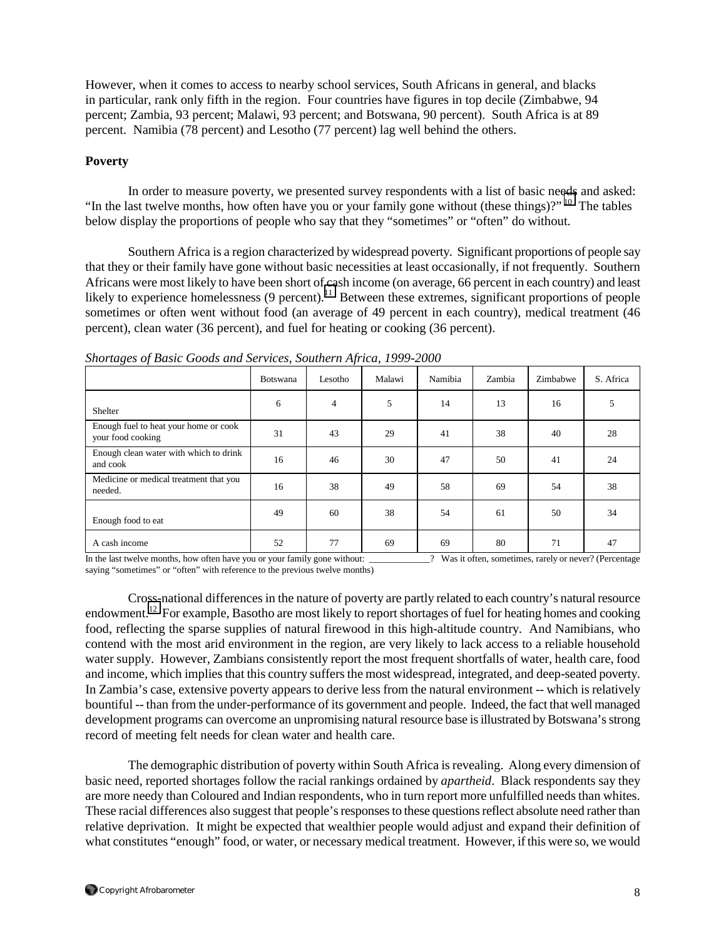However, when it comes to access to nearby school services, South Africans in general, and blacks in particular, rank only fifth in the region. Four countries have figures in top decile (Zimbabwe, 94 percent; Zambia, 93 percent; Malawi, 93 percent; and Botswana, 90 percent). South Africa is at 89 percent. Namibia (78 percent) and Lesotho (77 percent) lag well behind the others.

### **Poverty**

In order to measure poverty, we presented survey respondents with a list of basic needs and asked: "In the last twelve months, how often have you or your family gone without (these things)?" <sup>10</sup> The tables below display the proportions of people who say that they "sometimes" or "often" do without.

Southern Africa is a region characterized by widespread poverty. Significant proportions of people say that they or their family have gone without basic necessities at least occasionally, if not frequently. Southern Africans were most likely to have been short of cash income (on average, 66 percent in each country) and least likely to experience homelessness  $(9 \text{ percent})$ .<sup>11</sup> Between these extremes, significant proportions of people sometimes or often went without food (an average of 49 percent in each country), medical treatment (46 percent), clean water (36 percent), and fuel for heating or cooking (36 percent).

|                                                            | Botswana | Lesotho | Malawi | Namibia | Zambia | Zimbabwe | S. Africa |
|------------------------------------------------------------|----------|---------|--------|---------|--------|----------|-----------|
| Shelter                                                    | 6        | 4       | 5      | 14      | 13     | 16       | 5         |
| Enough fuel to heat your home or cook<br>your food cooking | 31       | 43      | 29     | 41      | 38     | 40       | 28        |
| Enough clean water with which to drink<br>and cook         | 16       | 46      | 30     | 47      | 50     | 41       | 24        |
| Medicine or medical treatment that you<br>needed.          | 16       | 38      | 49     | 58      | 69     | 54       | 38        |
| Enough food to eat                                         | 49       | 60      | 38     | 54      | 61     | 50       | 34        |
| A cash income                                              | 52       | 77      | 69     | 69      | 80     | 71       | 47        |

*Shortages of Basic Goods and Services, Southern Africa, 1999-2000*

In the last twelve months, how often have you or your family gone without: \_\_\_\_\_\_\_\_\_\_\_\_\_\_\_? Was it often, sometimes, rarely or never? (Percentage saying "sometimes" or "often" with reference to the previous twelve months)

Cross-national differences in the nature of poverty are partly related to each country's natural resource endowment.[12](#page-32-0) For example, Basotho are most likely to report shortages of fuel for heating homes and cooking food, reflecting the sparse supplies of natural firewood in this high-altitude country. And Namibians, who contend with the most arid environment in the region, are very likely to lack access to a reliable household water supply. However, Zambians consistently report the most frequent shortfalls of water, health care, food and income, which implies that this country suffers the most widespread, integrated, and deep-seated poverty. In Zambia's case, extensive poverty appears to derive less from the natural environment -- which is relatively bountiful -- than from the under-performance of its government and people. Indeed, the fact that well managed development programs can overcome an unpromising natural resource base is illustrated by Botswana's strong record of meeting felt needs for clean water and health care.

The demographic distribution of poverty within South Africa is revealing. Along every dimension of basic need, reported shortages follow the racial rankings ordained by *apartheid*. Black respondents say they are more needy than Coloured and Indian respondents, who in turn report more unfulfilled needs than whites. These racial differences also suggest that people's responses to these questions reflect absolute need rather than relative deprivation. It might be expected that wealthier people would adjust and expand their definition of what constitutes "enough" food, or water, or necessary medical treatment. However, if this were so, we would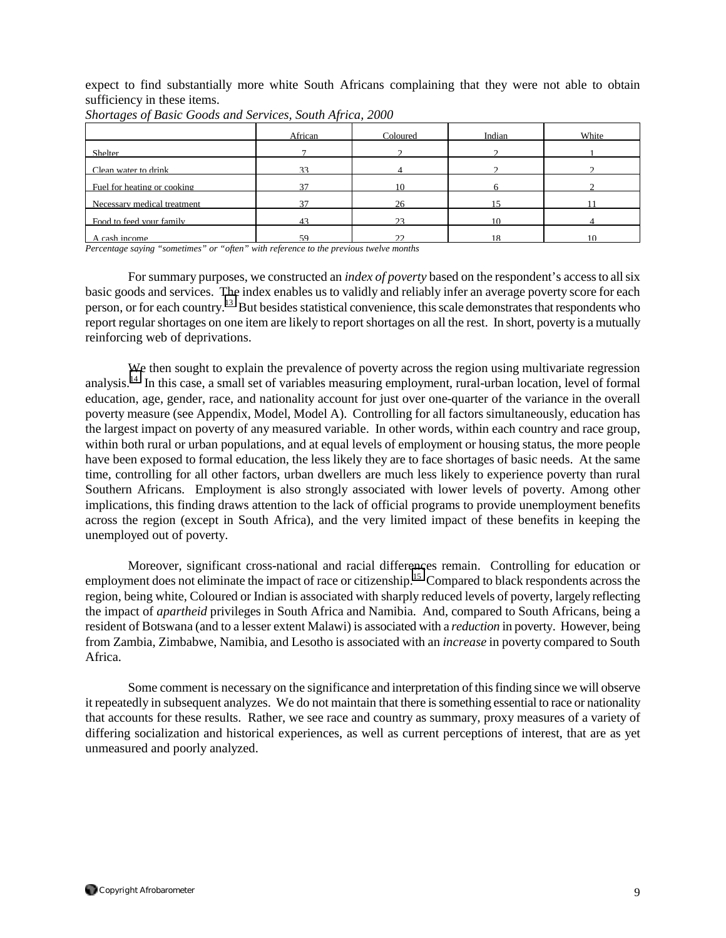expect to find substantially more white South Africans complaining that they were not able to obtain sufficiency in these items.

|                             | African        | Coloured      | Indian | White |
|-----------------------------|----------------|---------------|--------|-------|
| Shelter                     |                |               |        |       |
| Clean water to drink        |                |               |        |       |
| Fuel for heating or cooking | $\overline{ }$ | 10            |        |       |
| Necessary medical treatment |                | 26            |        |       |
| Food to feed your family    | 43             | 23            | 10     |       |
| cash income                 | 50             | $\mathcal{D}$ | 10     |       |

*Shortages of Basic Goods and Services, South Africa, 2000*

*Percentage saying "sometimes" or "often" with reference to the previous twelve months*

 For summary purposes, we constructed an *index of poverty* based on the respondent's access to all six basic goods and services. The index enables us to validly and reliably infer an average poverty score for each person, or for each country.[13](#page-32-0) But besides statistical convenience, this scale demonstrates that respondents who report regular shortages on one item are likely to report shortages on all the rest. In short, poverty is a mutually reinforcing web of deprivations.

We then sought to explain the prevalence of poverty across the region using multivariate regression analysis.[14](#page-32-0) In this case, a small set of variables measuring employment, rural-urban location, level of formal education, age, gender, race, and nationality account for just over one-quarter of the variance in the overall poverty measure (see Appendix, Model, Model A). Controlling for all factors simultaneously, education has the largest impact on poverty of any measured variable. In other words, within each country and race group, within both rural or urban populations, and at equal levels of employment or housing status, the more people have been exposed to formal education, the less likely they are to face shortages of basic needs. At the same time, controlling for all other factors, urban dwellers are much less likely to experience poverty than rural Southern Africans. Employment is also strongly associated with lower levels of poverty. Among other implications, this finding draws attention to the lack of official programs to provide unemployment benefits across the region (except in South Africa), and the very limited impact of these benefits in keeping the unemployed out of poverty.

 Moreover, significant cross-national and racial differences remain. Controlling for education or employment does not eliminate the impact of race or citizenship.<sup>15</sup> Compared to black respondents across the region, being white, Coloured or Indian is associated with sharply reduced levels of poverty, largely reflecting the impact of *apartheid* privileges in South Africa and Namibia. And, compared to South Africans, being a resident of Botswana (and to a lesser extent Malawi) is associated with a *reduction* in poverty. However, being from Zambia, Zimbabwe, Namibia, and Lesotho is associated with an *increase* in poverty compared to South Africa.

Some comment is necessary on the significance and interpretation of this finding since we will observe it repeatedly in subsequent analyzes. We do not maintain that there is something essential to race or nationality that accounts for these results. Rather, we see race and country as summary, proxy measures of a variety of differing socialization and historical experiences, as well as current perceptions of interest, that are as yet unmeasured and poorly analyzed.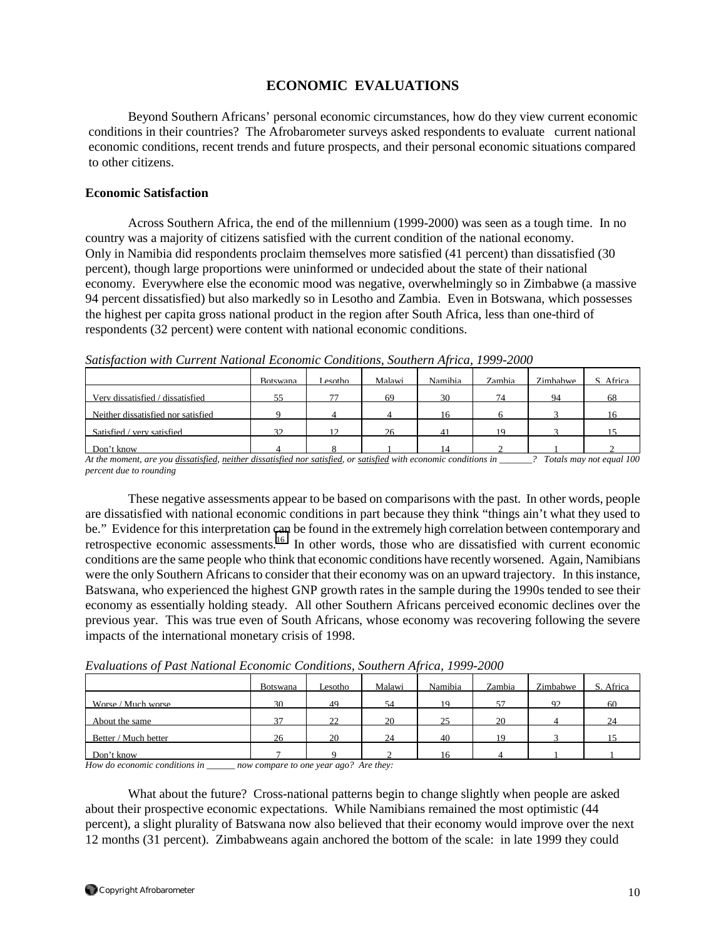# **ECONOMIC EVALUATIONS**

 Beyond Southern Africans' personal economic circumstances, how do they view current economic conditions in their countries? The Afrobarometer surveys asked respondents to evaluate current national economic conditions, recent trends and future prospects, and their personal economic situations compared to other citizens.

### **Economic Satisfaction**

 Across Southern Africa, the end of the millennium (1999-2000) was seen as a tough time. In no country was a majority of citizens satisfied with the current condition of the national economy. Only in Namibia did respondents proclaim themselves more satisfied (41 percent) than dissatisfied (30 percent), though large proportions were uninformed or undecided about the state of their national economy. Everywhere else the economic mood was negative, overwhelmingly so in Zimbabwe (a massive 94 percent dissatisfied) but also markedly so in Lesotho and Zambia. Even in Botswana, which possesses the highest per capita gross national product in the region after South Africa, less than one-third of respondents (32 percent) were content with national economic conditions.

|                                    | <b>Botswana</b> | Lesotho        | Malawi | Namibia | Zambia | Zimbabwe | S. Africa |
|------------------------------------|-----------------|----------------|--------|---------|--------|----------|-----------|
| Very dissatisfied / dissatisfied   | 55              | 77             | 69     | 30      | 74     | 94       | 68        |
| Neither dissatisfied nor satisfied |                 |                |        | 16      |        |          |           |
| Satisfied / very satisfied         | 32              | $\overline{1}$ | 26     | 41      | 19     |          |           |
| Don't know                         |                 |                |        |         |        |          |           |

*Satisfaction with Current National Economic Conditions, Southern Africa, 1999-2000*

*At the moment, are you dissatisfied, neither dissatisfied nor satisfied, or satisfied with economic conditions in \_\_\_\_\_\_\_? Totals may not equal 100 percent due to rounding* 

These negative assessments appear to be based on comparisons with the past. In other words, people are dissatisfied with national economic conditions in part because they think "things ain't what they used to be." Evidence for this interpretation can be found in the extremely high correlation between contemporary and retrospective economic assessments.<sup>16</sup> In other words, those who are dissatisfied with current economic conditions are the same people who think that economic conditions have recently worsened. Again, Namibians were the only Southern Africans to consider that their economy was on an upward trajectory. In this instance, Batswana, who experienced the highest GNP growth rates in the sample during the 1990s tended to see their economy as essentially holding steady. All other Southern Africans perceived economic declines over the previous year. This was true even of South Africans, whose economy was recovering following the severe impacts of the international monetary crisis of 1998.

|                      | <b>Botswana</b> | Lesotho | Malawi | Namibia | Zambia | Zimbabwe | Africa<br>S. |
|----------------------|-----------------|---------|--------|---------|--------|----------|--------------|
| Worse / Much worse   | 30              | 49      | 54     | 19      | 57     | 92       | 60           |
| About the same       | 37              | 22      | 20     | 25      | 20     |          | 24           |
| Better / Much better | 26              | 20      | 24     | 40      | 19     |          |              |
| Don't know           | −               |         |        | 16      |        |          |              |

*Evaluations of Past National Economic Conditions, Southern Africa, 1999-2000*

*How do economic conditions in \_\_\_\_\_\_ now compare to one year ago? Are they:* 

 What about the future? Cross-national patterns begin to change slightly when people are asked about their prospective economic expectations. While Namibians remained the most optimistic (44 percent), a slight plurality of Batswana now also believed that their economy would improve over the next 12 months (31 percent). Zimbabweans again anchored the bottom of the scale: in late 1999 they could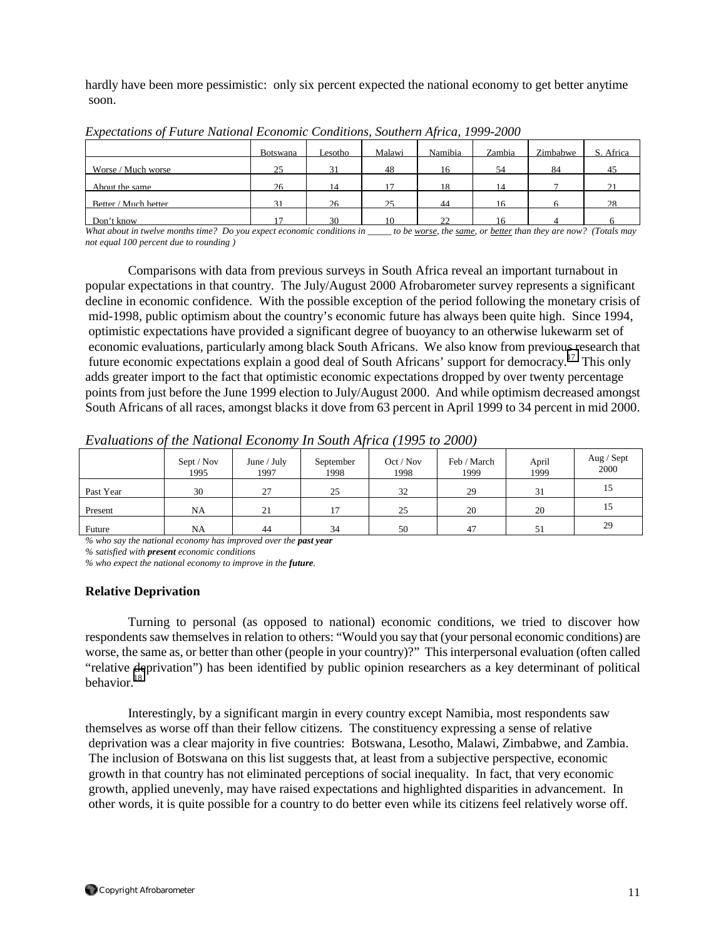hardly have been more pessimistic: only six percent expected the national economy to get better anytime soon.

|                      | <b>Botswana</b> | Lesotho- | Malawi | Namibia       | Zambia | Zimbabwe | Africa   |
|----------------------|-----------------|----------|--------|---------------|--------|----------|----------|
| Worse / Much worse   | 25              | 31       | 48     | 16            | -54    | 84       | 45       |
| About the same       | 26              | 14       | 17     | 18            | 14     |          |          |
| Better / Much better | 31              | 26       | 25     | 44            | 16     |          | $\gamma$ |
| Don't know           | 1 <sub>7</sub>  | 30       | 10     | $\mathcal{D}$ | 16     |          |          |

*Expectations of Future National Economic Conditions, Southern Africa, 1999-2000*

*What about in twelve months time? Do you expect economic conditions in \_\_\_\_\_ to be worse, the same, or better than they are now? (Totals may not equal 100 percent due to rounding )*

 Comparisons with data from previous surveys in South Africa reveal an important turnabout in popular expectations in that country. The July/August 2000 Afrobarometer survey represents a significant decline in economic confidence. With the possible exception of the period following the monetary crisis of mid-1998, public optimism about the country's economic future has always been quite high. Since 1994, optimistic expectations have provided a significant degree of buoyancy to an otherwise lukewarm set of economic evaluations, particularly among black South Africans. We also know from previous research that future economic expectations explain a good deal of South Africans' support for democracy.[17](#page-32-0) This only adds greater import to the fact that optimistic economic expectations dropped by over twenty percentage points from just before the June 1999 election to July/August 2000. And while optimism decreased amongst South Africans of all races, amongst blacks it dove from 63 percent in April 1999 to 34 percent in mid 2000.

*Evaluations of the National Economy In South Africa (1995 to 2000)* 

|           | Sept / Nov<br>1995 | June / July<br>1997 | September<br>1998 | Oct / Nov<br>1998 | Feb / March<br>1999 | April<br>1999 | Aug / Sept<br>2000 |
|-----------|--------------------|---------------------|-------------------|-------------------|---------------------|---------------|--------------------|
| Past Year | 30                 | 27                  | 25                | 32                | 29                  | 31            | 15                 |
| Present   | NA                 | 21                  | 17                | 25                | 20                  | 20            | 15                 |
| Future    | NA                 | 44                  | 34                | 50                | 47                  |               | 29                 |

*% who say the national economy has improved over the past year*

*% satisfied with present economic conditions* 

*% who expect the national economy to improve in the future.*

#### **Relative Deprivation**

Turning to personal (as opposed to national) economic conditions, we tried to discover how respondents saw themselves in relation to others: "Would you say that (your personal economic conditions) are worse, the same as, or better than other (people in your country)?" This interpersonal evaluation (often called "relative deprivation") has been identified by public opinion researchers as a key determinant of political behavior $18$ 

 Interestingly, by a significant margin in every country except Namibia, most respondents saw themselves as worse off than their fellow citizens. The constituency expressing a sense of relative deprivation was a clear majority in five countries: Botswana, Lesotho, Malawi, Zimbabwe, and Zambia. The inclusion of Botswana on this list suggests that, at least from a subjective perspective, economic growth in that country has not eliminated perceptions of social inequality. In fact, that very economic growth, applied unevenly, may have raised expectations and highlighted disparities in advancement. In other words, it is quite possible for a country to do better even while its citizens feel relatively worse off.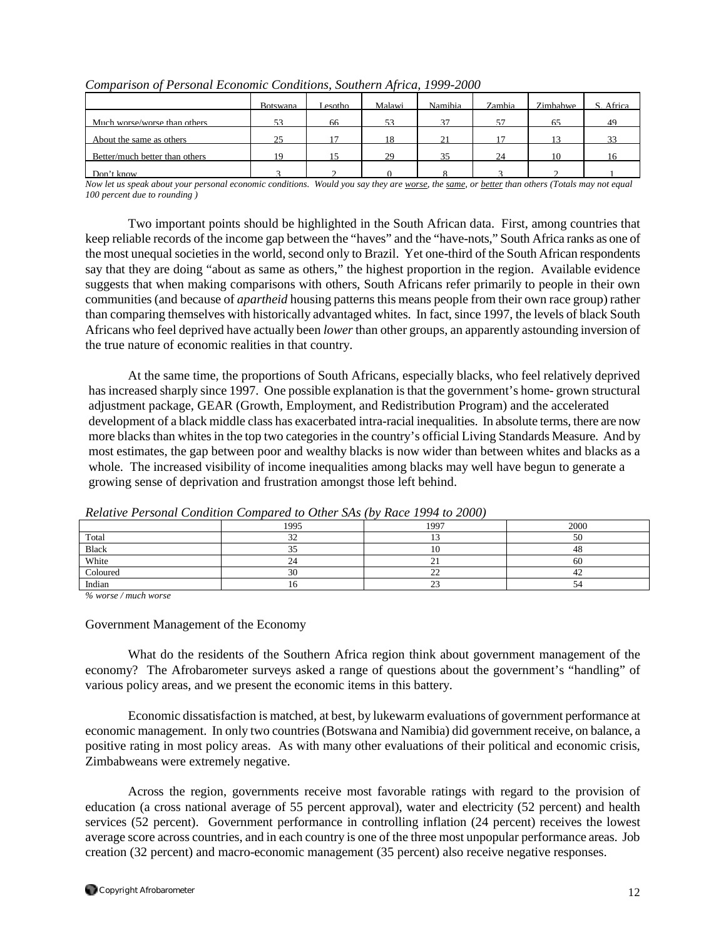|                                | Botswana | Lesotho | Malawi | Namibia | Zambia | Zimbabwe | Africa |
|--------------------------------|----------|---------|--------|---------|--------|----------|--------|
| Much worse/worse than others   | 52       | 66      | 52     | 37      | 57     | 65       | 49     |
| About the same as others       | 25       | 17      | 18     | 21      | 17     | 13       |        |
| Better/much better than others | 19       |         | 29     | 35      | 24     | 10       |        |
| Don't know                     |          |         |        |         |        |          |        |

*Comparison of Personal Economic Conditions, Southern Africa, 1999-2000*

*Now let us speak about your personal economic conditions. Would you say they are worse, the same, or better than others (Totals may not equal 100 percent due to rounding )*

Two important points should be highlighted in the South African data. First, among countries that keep reliable records of the income gap between the "haves" and the "have-nots," South Africa ranks as one of the most unequal societies in the world, second only to Brazil. Yet one-third of the South African respondents say that they are doing "about as same as others," the highest proportion in the region. Available evidence suggests that when making comparisons with others, South Africans refer primarily to people in their own communities (and because of *apartheid* housing patterns this means people from their own race group) rather than comparing themselves with historically advantaged whites. In fact, since 1997, the levels of black South Africans who feel deprived have actually been *lower* than other groups, an apparently astounding inversion of the true nature of economic realities in that country.

 At the same time, the proportions of South Africans, especially blacks, who feel relatively deprived has increased sharply since 1997. One possible explanation is that the government's home- grown structural adjustment package, GEAR (Growth, Employment, and Redistribution Program) and the accelerated development of a black middle class has exacerbated intra-racial inequalities. In absolute terms, there are now more blacks than whites in the top two categories in the country's official Living Standards Measure. And by most estimates, the gap between poor and wealthy blacks is now wider than between whites and blacks as a whole. The increased visibility of income inequalities among blacks may well have begun to generate a growing sense of deprivation and frustration amongst those left behind.

|          | Returned Chooned Continuou Compared to Office Sixty (0) Ruted 1997 to 2000) |                    |      |
|----------|-----------------------------------------------------------------------------|--------------------|------|
|          | 1995                                                                        | 1997               | 2000 |
| Total    | ے ر                                                                         |                    | ЭU   |
| Black    |                                                                             | 1Ψ                 | 48   |
| White    |                                                                             | ٠.                 | ou   |
| Coloured | υc                                                                          | $\sim$<br>∸        | 44   |
| Indian   | 1 V                                                                         | $\sim$<br><u>_</u> |      |

*Relative Personal Condition Compared to Other SAs (by Race 1994 to 2000)* 

*% worse / much worse* 

#### Government Management of the Economy

What do the residents of the Southern Africa region think about government management of the economy? The Afrobarometer surveys asked a range of questions about the government's "handling" of various policy areas, and we present the economic items in this battery.

Economic dissatisfaction is matched, at best, by lukewarm evaluations of government performance at economic management. In only two countries (Botswana and Namibia) did government receive, on balance, a positive rating in most policy areas. As with many other evaluations of their political and economic crisis, Zimbabweans were extremely negative.

Across the region, governments receive most favorable ratings with regard to the provision of education (a cross national average of 55 percent approval), water and electricity (52 percent) and health services (52 percent). Government performance in controlling inflation (24 percent) receives the lowest average score across countries, and in each country is one of the three most unpopular performance areas. Job creation (32 percent) and macro-economic management (35 percent) also receive negative responses.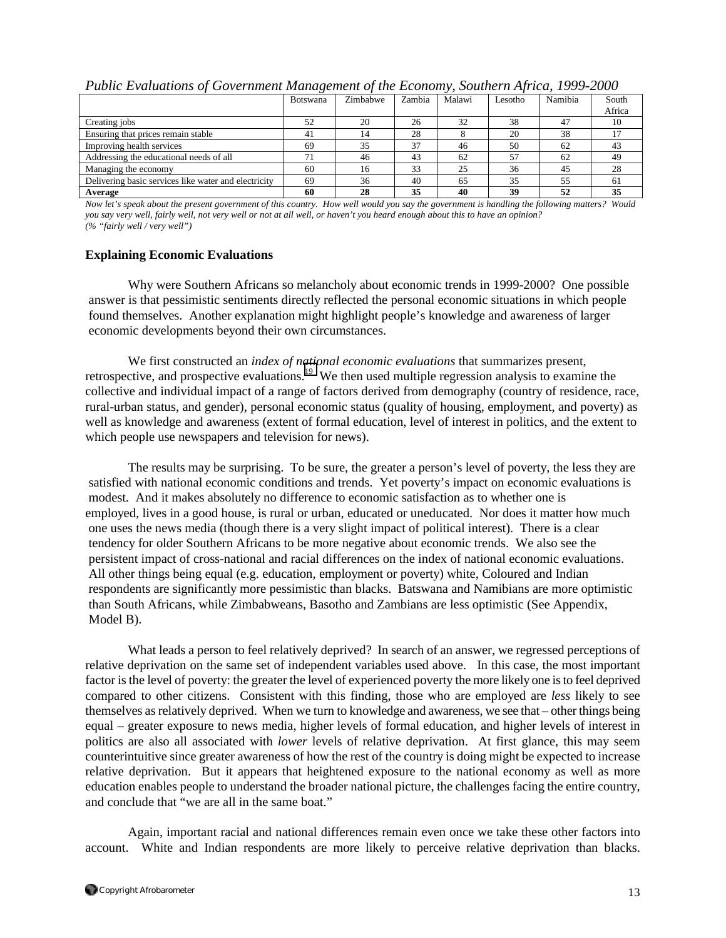|                                                      | <b>Botswana</b> | Zimbabwe | Zambia | Malawi | Lesotho | Namibia | South  |
|------------------------------------------------------|-----------------|----------|--------|--------|---------|---------|--------|
|                                                      |                 |          |        |        |         |         | Africa |
| Creating jobs                                        | 52              | 20       | 26     | 32     | 38      | 47      | 10     |
| Ensuring that prices remain stable                   | 41              | 14       | 28     |        | 20      | 38      |        |
| Improving health services                            | 69              | 35       | 37     | 46     | 50      | 62      | 43     |
| Addressing the educational needs of all              | 71              | 46       | 43     | 62     | 57      | 62      | 49     |
| Managing the economy                                 | 60              | 16       | 33     | 25     | 36      | 45      | 28     |
| Delivering basic services like water and electricity | 69              | 36       | 40     | 65     | 35      | 55      | 61     |
| Average                                              | 60              | 28       | 35     | 40     | 39      | 52      | 35     |

*Public Evaluations of Government Management of the Economy, Southern Africa, 1999-2000* 

*Now let's speak about the present government of this country. How well would you say the government is handling the following matters? Would you say very well, fairly well, not very well or not at all well, or haven't you heard enough about this to have an opinion? (% "fairly well / very well")* 

### **Explaining Economic Evaluations**

 Why were Southern Africans so melancholy about economic trends in 1999-2000? One possible answer is that pessimistic sentiments directly reflected the personal economic situations in which people found themselves. Another explanation might highlight people's knowledge and awareness of larger economic developments beyond their own circumstances.

We first constructed an *index of national economic evaluations* that summarizes present, retrospective, and prospective evaluations.<sup>19</sup> We then used multiple regression analysis to examine the collective and individual impact of a range of factors derived from demography (country of residence, race, rural-urban status, and gender), personal economic status (quality of housing, employment, and poverty) as well as knowledge and awareness (extent of formal education, level of interest in politics, and the extent to which people use newspapers and television for news).

 The results may be surprising. To be sure, the greater a person's level of poverty, the less they are satisfied with national economic conditions and trends. Yet poverty's impact on economic evaluations is modest. And it makes absolutely no difference to economic satisfaction as to whether one is employed, lives in a good house, is rural or urban, educated or uneducated. Nor does it matter how much one uses the news media (though there is a very slight impact of political interest). There is a clear tendency for older Southern Africans to be more negative about economic trends. We also see the persistent impact of cross-national and racial differences on the index of national economic evaluations. All other things being equal (e.g. education, employment or poverty) white, Coloured and Indian respondents are significantly more pessimistic than blacks. Batswana and Namibians are more optimistic than South Africans, while Zimbabweans, Basotho and Zambians are less optimistic (See Appendix, Model B).

What leads a person to feel relatively deprived? In search of an answer, we regressed perceptions of relative deprivation on the same set of independent variables used above. In this case, the most important factor is the level of poverty: the greater the level of experienced poverty the more likely one is to feel deprived compared to other citizens. Consistent with this finding, those who are employed are *less* likely to see themselves as relatively deprived. When we turn to knowledge and awareness, we see that – other things being equal – greater exposure to news media, higher levels of formal education, and higher levels of interest in politics are also all associated with *lower* levels of relative deprivation. At first glance, this may seem counterintuitive since greater awareness of how the rest of the country is doing might be expected to increase relative deprivation. But it appears that heightened exposure to the national economy as well as more education enables people to understand the broader national picture, the challenges facing the entire country, and conclude that "we are all in the same boat."

Again, important racial and national differences remain even once we take these other factors into account. White and Indian respondents are more likely to perceive relative deprivation than blacks.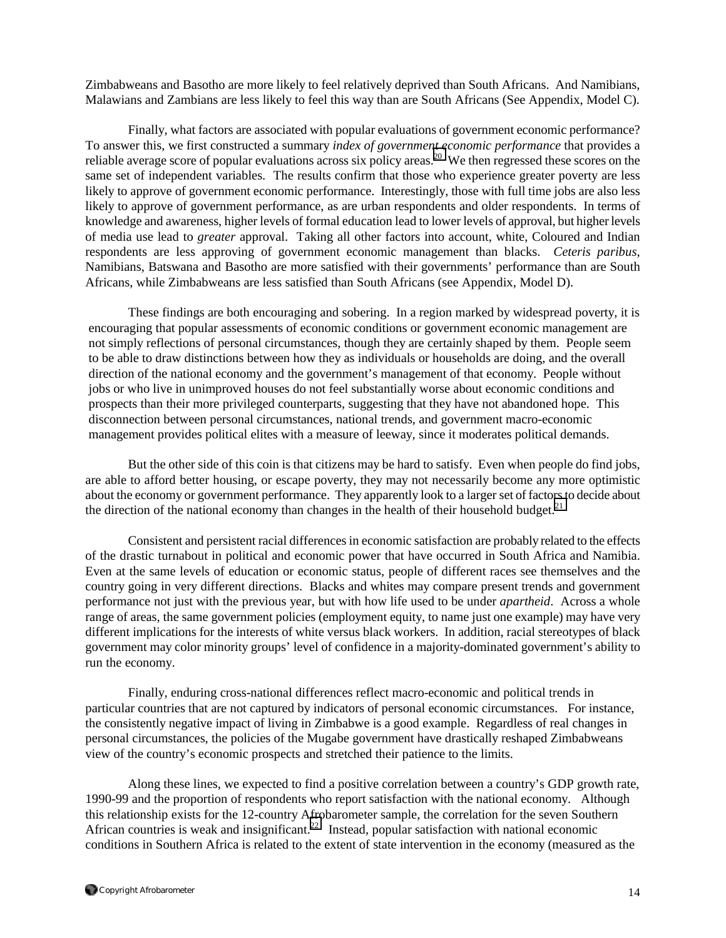Zimbabweans and Basotho are more likely to feel relatively deprived than South Africans. And Namibians, Malawians and Zambians are less likely to feel this way than are South Africans (See Appendix, Model C).

Finally, what factors are associated with popular evaluations of government economic performance? To answer this, we first constructed a summary *index of government economic performance* that provides a reliable average score of popular evaluations across six policy areas.<sup>20</sup> We then regressed these scores on the same set of independent variables. The results confirm that those who experience greater poverty are less likely to approve of government economic performance. Interestingly, those with full time jobs are also less likely to approve of government performance, as are urban respondents and older respondents. In terms of knowledge and awareness, higher levels of formal education lead to lower levels of approval, but higher levels of media use lead to *greater* approval. Taking all other factors into account, white, Coloured and Indian respondents are less approving of government economic management than blacks. *Ceteris paribus*, Namibians, Batswana and Basotho are more satisfied with their governments' performance than are South Africans, while Zimbabweans are less satisfied than South Africans (see Appendix, Model D).

 These findings are both encouraging and sobering. In a region marked by widespread poverty, it is encouraging that popular assessments of economic conditions or government economic management are not simply reflections of personal circumstances, though they are certainly shaped by them. People seem to be able to draw distinctions between how they as individuals or households are doing, and the overall direction of the national economy and the government's management of that economy. People without jobs or who live in unimproved houses do not feel substantially worse about economic conditions and prospects than their more privileged counterparts, suggesting that they have not abandoned hope. This disconnection between personal circumstances, national trends, and government macro-economic management provides political elites with a measure of leeway, since it moderates political demands.

But the other side of this coin is that citizens may be hard to satisfy. Even when people do find jobs, are able to afford better housing, or escape poverty, they may not necessarily become any more optimistic about the economy or government performance. They apparently look to a larger set of factors to decide about the direction of the national economy than changes in the health of their household budget. $2<sup>1</sup>$ 

Consistent and persistent racial differences in economic satisfaction are probably related to the effects of the drastic turnabout in political and economic power that have occurred in South Africa and Namibia. Even at the same levels of education or economic status, people of different races see themselves and the country going in very different directions. Blacks and whites may compare present trends and government performance not just with the previous year, but with how life used to be under *apartheid*. Across a whole range of areas, the same government policies (employment equity, to name just one example) may have very different implications for the interests of white versus black workers. In addition, racial stereotypes of black government may color minority groups' level of confidence in a majority-dominated government's ability to run the economy.

Finally, enduring cross-national differences reflect macro-economic and political trends in particular countries that are not captured by indicators of personal economic circumstances. For instance, the consistently negative impact of living in Zimbabwe is a good example. Regardless of real changes in personal circumstances, the policies of the Mugabe government have drastically reshaped Zimbabweans view of the country's economic prospects and stretched their patience to the limits.

Along these lines, we expected to find a positive correlation between a country's GDP growth rate, 1990-99 and the proportion of respondents who report satisfaction with the national economy. Although this relationship exists for the 12-country Afrobarometer sample, the correlation for the seven Southern African countries is weak and insignificant.<sup>22</sup> Instead, popular satisfaction with national economic conditions in Southern Africa is related to the extent of state intervention in the economy (measured as the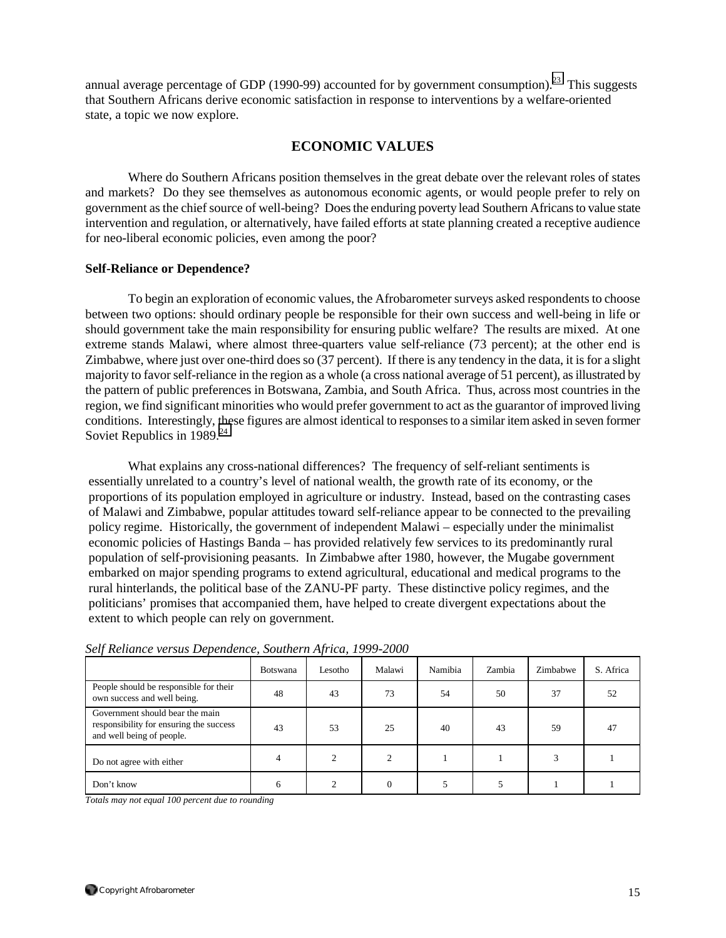annual average percentage of GDP (1990-99) accounted for by government consumption).<sup>23</sup> This suggests that Southern Africans derive economic satisfaction in response to interventions by a welfare-oriented state, a topic we now explore.

# **ECONOMIC VALUES**

 Where do Southern Africans position themselves in the great debate over the relevant roles of states and markets? Do they see themselves as autonomous economic agents, or would people prefer to rely on government as the chief source of well-being? Does the enduring poverty lead Southern Africans to value state intervention and regulation, or alternatively, have failed efforts at state planning created a receptive audience for neo-liberal economic policies, even among the poor?

#### **Self-Reliance or Dependence?**

To begin an exploration of economic values, the Afrobarometer surveys asked respondents to choose between two options: should ordinary people be responsible for their own success and well-being in life or should government take the main responsibility for ensuring public welfare? The results are mixed. At one extreme stands Malawi, where almost three-quarters value self-reliance (73 percent); at the other end is Zimbabwe, where just over one-third does so (37 percent). If there is any tendency in the data, it is for a slight majority to favor self-reliance in the region as a whole (a cross national average of 51 percent), as illustrated by the pattern of public preferences in Botswana, Zambia, and South Africa. Thus, across most countries in the region, we find significant minorities who would prefer government to act as the guarantor of improved living conditions. Interestingly, these figures are almost identical to responses to a similar item asked in seven former Soviet Republics in  $1989.<sup>24</sup>$  $1989.<sup>24</sup>$  $1989.<sup>24</sup>$ 

 What explains any cross-national differences? The frequency of self-reliant sentiments is essentially unrelated to a country's level of national wealth, the growth rate of its economy, or the proportions of its population employed in agriculture or industry. Instead, based on the contrasting cases of Malawi and Zimbabwe, popular attitudes toward self-reliance appear to be connected to the prevailing policy regime. Historically, the government of independent Malawi – especially under the minimalist economic policies of Hastings Banda – has provided relatively few services to its predominantly rural population of self-provisioning peasants. In Zimbabwe after 1980, however, the Mugabe government embarked on major spending programs to extend agricultural, educational and medical programs to the rural hinterlands, the political base of the ZANU-PF party. These distinctive policy regimes, and the politicians' promises that accompanied them, have helped to create divergent expectations about the extent to which people can rely on government.

|                                                                                                         | <b>Botswana</b> | Lesotho | Malawi | Namibia | Zambia | Zimbabwe | S. Africa |
|---------------------------------------------------------------------------------------------------------|-----------------|---------|--------|---------|--------|----------|-----------|
| People should be responsible for their<br>own success and well being.                                   | 48              | 43      | 73     | 54      | 50     | 37       | 52        |
| Government should bear the main<br>responsibility for ensuring the success<br>and well being of people. | 43              | 53      | 25     | 40      | 43     | 59       | 47        |
| Do not agree with either                                                                                | 4               |         | ◠      |         |        |          |           |
| Don't know                                                                                              |                 |         |        |         |        |          |           |

*Self Reliance versus Dependence, Southern Africa, 1999-2000*

*Totals may not equal 100 percent due to rounding*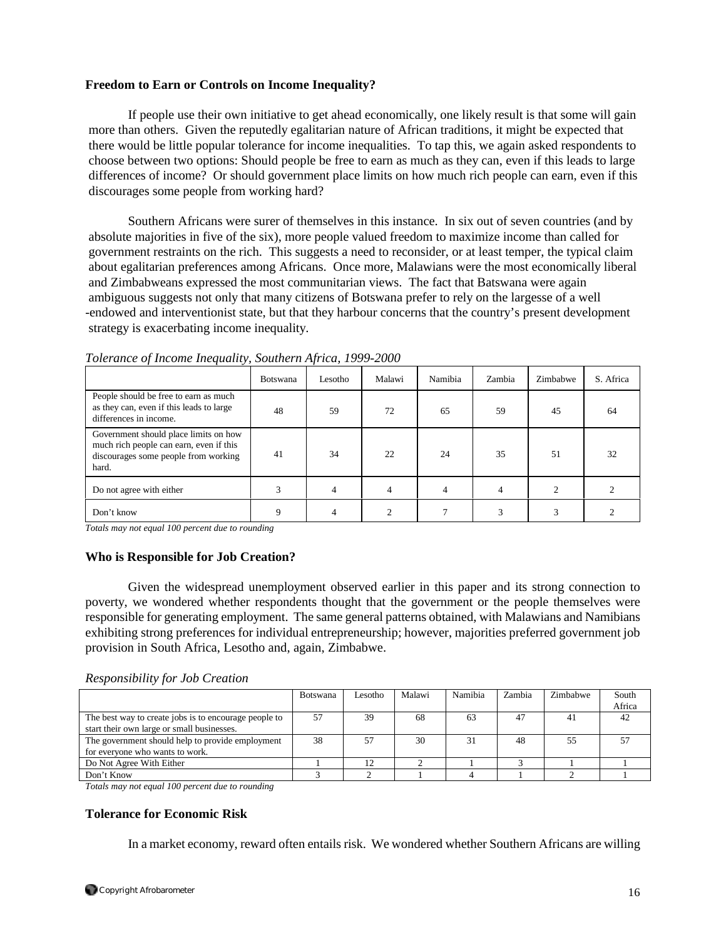### **Freedom to Earn or Controls on Income Inequality?**

 If people use their own initiative to get ahead economically, one likely result is that some will gain more than others. Given the reputedly egalitarian nature of African traditions, it might be expected that there would be little popular tolerance for income inequalities. To tap this, we again asked respondents to choose between two options: Should people be free to earn as much as they can, even if this leads to large differences of income? Or should government place limits on how much rich people can earn, even if this discourages some people from working hard?

 Southern Africans were surer of themselves in this instance. In six out of seven countries (and by absolute majorities in five of the six), more people valued freedom to maximize income than called for government restraints on the rich. This suggests a need to reconsider, or at least temper, the typical claim about egalitarian preferences among Africans. Once more, Malawians were the most economically liberal and Zimbabweans expressed the most communitarian views. The fact that Batswana were again ambiguous suggests not only that many citizens of Botswana prefer to rely on the largesse of a well -endowed and interventionist state, but that they harbour concerns that the country's present development strategy is exacerbating income inequality.

|                                                                                                                                   | <b>Botswana</b> | Lesotho | Malawi | Namibia | Zambia | Zimbabwe | S. Africa |
|-----------------------------------------------------------------------------------------------------------------------------------|-----------------|---------|--------|---------|--------|----------|-----------|
| People should be free to earn as much<br>as they can, even if this leads to large<br>differences in income.                       | 48              | 59      | 72     | 65      | 59     | 45       | 64        |
| Government should place limits on how<br>much rich people can earn, even if this<br>discourages some people from working<br>hard. | 41              | 34      | 22     | 24      | 35     | 51       | 32        |
| Do not agree with either                                                                                                          |                 | 4       | 4      | 4       |        |          |           |
| Don't know                                                                                                                        | Q               |         |        |         | 3      | 3        |           |

*Tolerance of Income Inequality, Southern Africa, 1999-2000*

*Totals may not equal 100 percent due to rounding* 

### **Who is Responsible for Job Creation?**

 Given the widespread unemployment observed earlier in this paper and its strong connection to poverty, we wondered whether respondents thought that the government or the people themselves were responsible for generating employment. The same general patterns obtained, with Malawians and Namibians exhibiting strong preferences for individual entrepreneurship; however, majorities preferred government job provision in South Africa, Lesotho and, again, Zimbabwe.

#### *Responsibility for Job Creation*

|                                                       | <b>Botswana</b> | I esotho | Malawi | Namibia | Zambia | Zimbabwe | South  |
|-------------------------------------------------------|-----------------|----------|--------|---------|--------|----------|--------|
|                                                       |                 |          |        |         |        |          | Africa |
| The best way to create jobs is to encourage people to | 57              | 39       | 68     | 63      | 47     | 41       | 42     |
| start their own large or small businesses.            |                 |          |        |         |        |          |        |
| The government should help to provide employment      | 38              |          | 30     |         | 48     | 55       |        |
| for everyone who wants to work.                       |                 |          |        |         |        |          |        |
| Do Not Agree With Either                              |                 | 12       |        |         |        |          |        |
| Don't Know                                            |                 |          |        |         |        |          |        |

*Totals may not equal 100 percent due to rounding* 

#### **Tolerance for Economic Risk**

In a market economy, reward often entails risk. We wondered whether Southern Africans are willing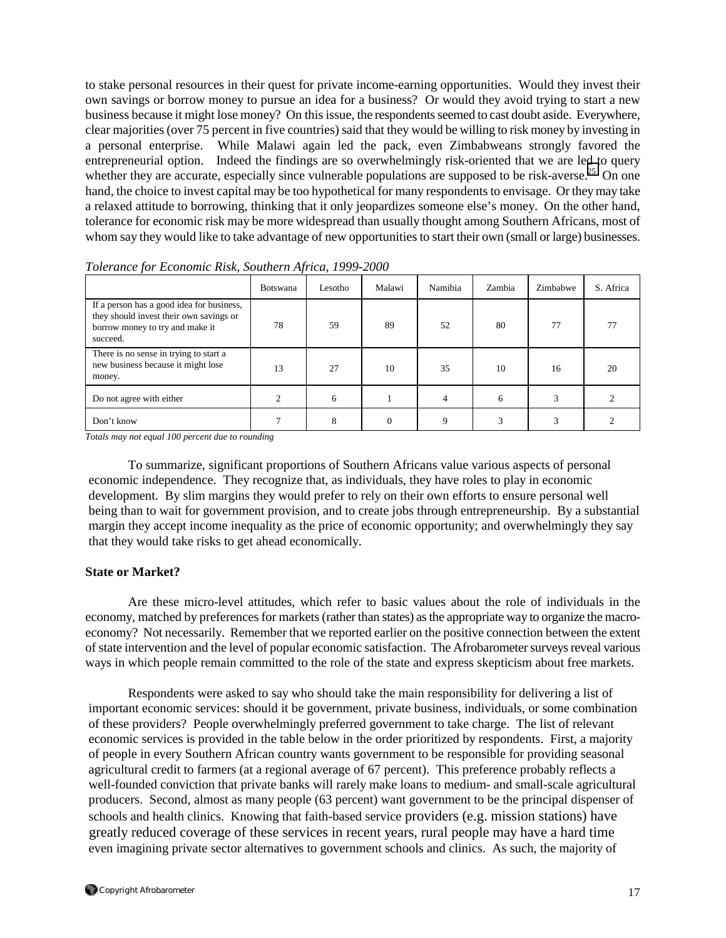to stake personal resources in their quest for private income-earning opportunities. Would they invest their own savings or borrow money to pursue an idea for a business? Or would they avoid trying to start a new business because it might lose money? On this issue, the respondents seemed to cast doubt aside. Everywhere, clear majorities (over 75 percent in five countries) said that they would be willing to risk money by investing in a personal enterprise. While Malawi again led the pack, even Zimbabweans strongly favored the entrepreneurial option. Indeed the findings are so overwhelmingly risk-oriented that we are led to query whether they are accurate, especially since vulnerable populations are supposed to be risk-averse.<sup>25</sup> On one hand, the choice to invest capital may be too hypothetical for many respondents to envisage. Or they may take a relaxed attitude to borrowing, thinking that it only jeopardizes someone else's money. On the other hand, tolerance for economic risk may be more widespread than usually thought among Southern Africans, most of whom say they would like to take advantage of new opportunities to start their own (small or large) businesses.

|                                                                                                                                     | <b>Botswana</b> | Lesotho | Malawi | Namibia     | Zambia | Zimbabwe | S. Africa |
|-------------------------------------------------------------------------------------------------------------------------------------|-----------------|---------|--------|-------------|--------|----------|-----------|
| If a person has a good idea for business,<br>they should invest their own savings or<br>borrow money to try and make it<br>succeed. | 78              | 59      | 89     | 52          | 80     | 77       |           |
| There is no sense in trying to start a<br>new business because it might lose<br>money.                                              | 13              | 27      | 10     | 35          | 10     | 16       | 20        |
| Do not agree with either                                                                                                            |                 | 6       |        | 4           | 6      | 3        |           |
| Don't know                                                                                                                          |                 |         |        | $\mathbf Q$ |        | 3        |           |

*Tolerance for Economic Risk, Southern Africa, 1999-2000*

*Totals may not equal 100 percent due to rounding* 

 To summarize, significant proportions of Southern Africans value various aspects of personal economic independence. They recognize that, as individuals, they have roles to play in economic development. By slim margins they would prefer to rely on their own efforts to ensure personal well being than to wait for government provision, and to create jobs through entrepreneurship. By a substantial margin they accept income inequality as the price of economic opportunity; and overwhelmingly they say that they would take risks to get ahead economically.

#### **State or Market?**

Are these micro-level attitudes, which refer to basic values about the role of individuals in the economy, matched by preferences for markets (rather than states) as the appropriate way to organize the macroeconomy? Not necessarily. Remember that we reported earlier on the positive connection between the extent of state intervention and the level of popular economic satisfaction. The Afrobarometer surveys reveal various ways in which people remain committed to the role of the state and express skepticism about free markets.

 Respondents were asked to say who should take the main responsibility for delivering a list of important economic services: should it be government, private business, individuals, or some combination of these providers? People overwhelmingly preferred government to take charge. The list of relevant economic services is provided in the table below in the order prioritized by respondents. First, a majority of people in every Southern African country wants government to be responsible for providing seasonal agricultural credit to farmers (at a regional average of 67 percent). This preference probably reflects a well-founded conviction that private banks will rarely make loans to medium- and small-scale agricultural producers. Second, almost as many people (63 percent) want government to be the principal dispenser of schools and health clinics. Knowing that faith-based service providers (e.g. mission stations) have greatly reduced coverage of these services in recent years, rural people may have a hard time even imagining private sector alternatives to government schools and clinics. As such, the majority of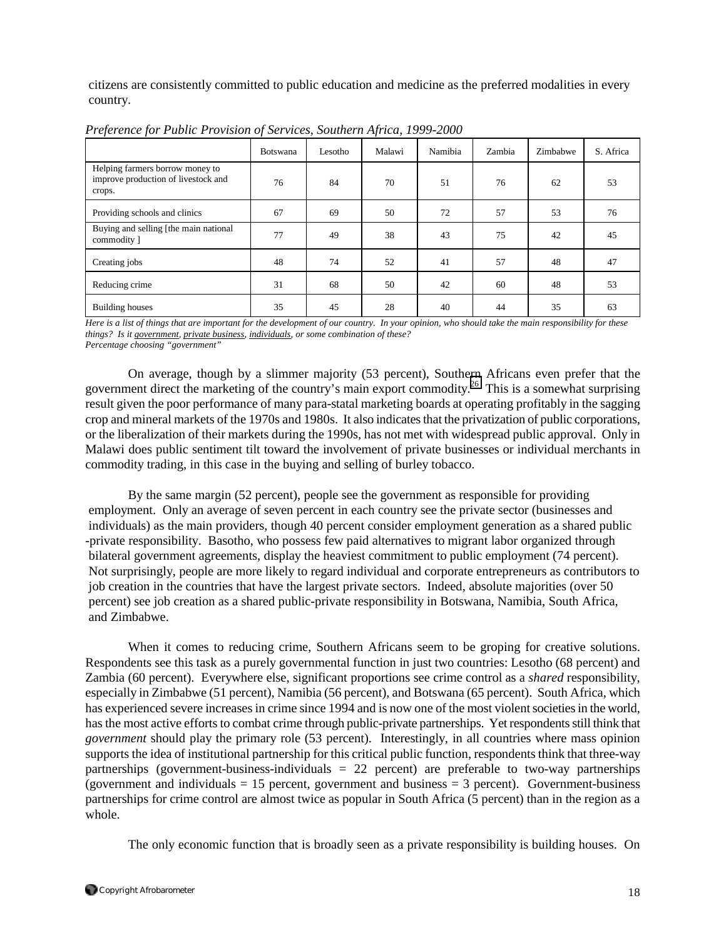citizens are consistently committed to public education and medicine as the preferred modalities in every country.

|                                                                                  | <b>Botswana</b> | Lesotho | Malawi | Namibia | Zambia | Zimbabwe | S. Africa |
|----------------------------------------------------------------------------------|-----------------|---------|--------|---------|--------|----------|-----------|
| Helping farmers borrow money to<br>improve production of livestock and<br>crops. | 76              | 84      | 70     | 51      | 76     | 62       | 53        |
| Providing schools and clinics                                                    | 67              | 69      | 50     | 72      | 57     | 53       | 76        |
| Buying and selling [the main national<br>commodity ]                             | 77              | 49      | 38     | 43      | 75     | 42       | 45        |
| Creating jobs                                                                    | 48              | 74      | 52     | 41      | 57     | 48       | 47        |
| Reducing crime                                                                   | 31              | 68      | 50     | 42      | 60     | 48       | 53        |
| <b>Building houses</b>                                                           | 35              | 45      | 28     | 40      | 44     | 35       | 63        |

*Preference for Public Provision of Services, Southern Africa*, *1999-2000*

*Here is a list of things that are important for the development of our country. In your opinion, who should take the main responsibility for these things? Is it government, private business, individuals, or some combination of these? Percentage choosing "government"*

On average, though by a slimmer majority (53 percent), Southern Africans even prefer that the government direct the marketing of the country's main export commodity.[26](#page-32-0) This is a somewhat surprising result given the poor performance of many para-statal marketing boards at operating profitably in the sagging crop and mineral markets of the 1970s and 1980s. It also indicates that the privatization of public corporations, or the liberalization of their markets during the 1990s, has not met with widespread public approval. Only in Malawi does public sentiment tilt toward the involvement of private businesses or individual merchants in commodity trading, in this case in the buying and selling of burley tobacco.

 By the same margin (52 percent), people see the government as responsible for providing employment. Only an average of seven percent in each country see the private sector (businesses and individuals) as the main providers, though 40 percent consider employment generation as a shared public -private responsibility. Basotho, who possess few paid alternatives to migrant labor organized through bilateral government agreements, display the heaviest commitment to public employment (74 percent). Not surprisingly, people are more likely to regard individual and corporate entrepreneurs as contributors to job creation in the countries that have the largest private sectors. Indeed, absolute majorities (over 50 percent) see job creation as a shared public-private responsibility in Botswana, Namibia, South Africa, and Zimbabwe.

When it comes to reducing crime, Southern Africans seem to be groping for creative solutions. Respondents see this task as a purely governmental function in just two countries: Lesotho (68 percent) and Zambia (60 percent). Everywhere else, significant proportions see crime control as a *shared* responsibility, especially in Zimbabwe (51 percent), Namibia (56 percent), and Botswana (65 percent). South Africa, which has experienced severe increases in crime since 1994 and is now one of the most violent societies in the world, has the most active efforts to combat crime through public-private partnerships. Yet respondents still think that *government* should play the primary role (53 percent). Interestingly, in all countries where mass opinion supports the idea of institutional partnership for this critical public function, respondents think that three-way partnerships (government-business-individuals  $= 22$  percent) are preferable to two-way partnerships (government and individuals  $= 15$  percent, government and business  $= 3$  percent). Government-business partnerships for crime control are almost twice as popular in South Africa (5 percent) than in the region as a whole.

The only economic function that is broadly seen as a private responsibility is building houses. On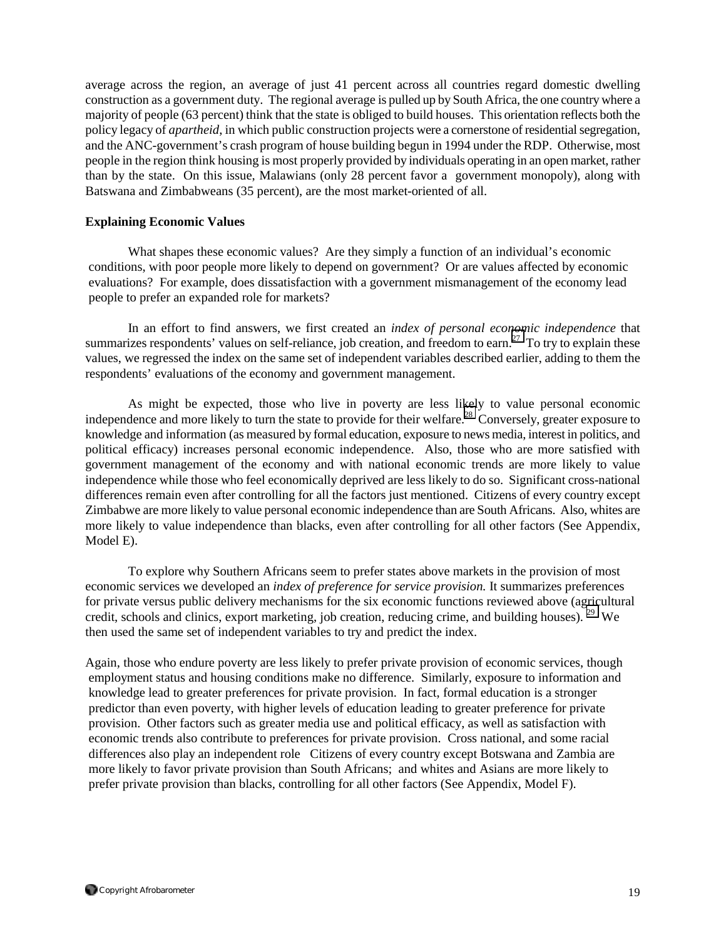average across the region, an average of just 41 percent across all countries regard domestic dwelling construction as a government duty. The regional average is pulled up by South Africa, the one country where a majority of people (63 percent) think that the state is obliged to build houses. This orientation reflects both the policy legacy of *apartheid*, in which public construction projects were a cornerstone of residential segregation, and the ANC-government's crash program of house building begun in 1994 under the RDP. Otherwise, most people in the region think housing is most properly provided by individuals operating in an open market, rather than by the state. On this issue, Malawians (only 28 percent favor a government monopoly), along with Batswana and Zimbabweans (35 percent), are the most market-oriented of all.

### **Explaining Economic Values**

 What shapes these economic values? Are they simply a function of an individual's economic conditions, with poor people more likely to depend on government? Or are values affected by economic evaluations? For example, does dissatisfaction with a government mismanagement of the economy lead people to prefer an expanded role for markets?

In an effort to find answers, we first created an *index of personal economic independence* that summarizes respondents' values on self-reliance, job creation, and freedom to earn.<sup>27</sup> To try to explain these values, we regressed the index on the same set of independent variables described earlier, adding to them the respondents' evaluations of the economy and government management.

As might be expected, those who live in poverty are less likely to value personal economic independence and more likely to turn the state to provide for their welfare.<sup>28</sup> Conversely, greater exposure to knowledge and information (as measured by formal education, exposure to news media, interest in politics, and political efficacy) increases personal economic independence. Also, those who are more satisfied with government management of the economy and with national economic trends are more likely to value independence while those who feel economically deprived are less likely to do so. Significant cross-national differences remain even after controlling for all the factors just mentioned. Citizens of every country except Zimbabwe are more likely to value personal economic independence than are South Africans. Also, whites are more likely to value independence than blacks, even after controlling for all other factors (See Appendix, Model E).

 To explore why Southern Africans seem to prefer states above markets in the provision of most economic services we developed an *index of preference for service provision.* It summarizes preferences for private versus public delivery mechanisms for the six economic functions reviewed above (agricultural credit, schools and clinics, export marketing, job creation, reducing crime, and building houses). <sup>29</sup> We then used the same set of independent variables to try and predict the index.

Again, those who endure poverty are less likely to prefer private provision of economic services, though employment status and housing conditions make no difference. Similarly, exposure to information and knowledge lead to greater preferences for private provision. In fact, formal education is a stronger predictor than even poverty, with higher levels of education leading to greater preference for private provision. Other factors such as greater media use and political efficacy, as well as satisfaction with economic trends also contribute to preferences for private provision. Cross national, and some racial differences also play an independent role Citizens of every country except Botswana and Zambia are more likely to favor private provision than South Africans; and whites and Asians are more likely to prefer private provision than blacks, controlling for all other factors (See Appendix, Model F).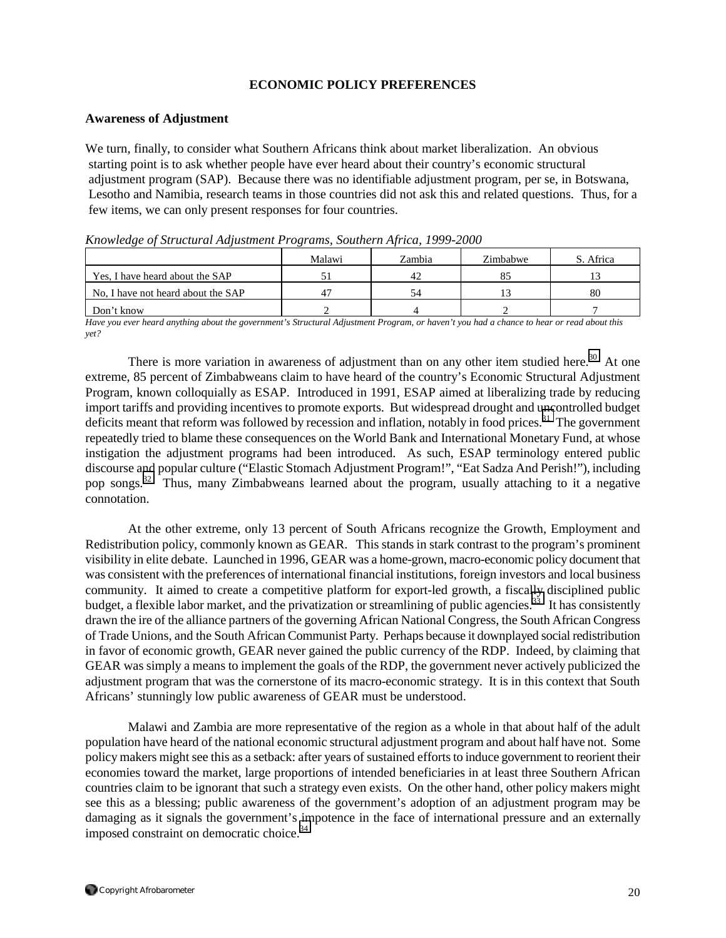### **ECONOMIC POLICY PREFERENCES**

#### **Awareness of Adjustment**

We turn, finally, to consider what Southern Africans think about market liberalization. An obvious starting point is to ask whether people have ever heard about their country's economic structural adjustment program (SAP). Because there was no identifiable adjustment program, per se, in Botswana, Lesotho and Namibia, research teams in those countries did not ask this and related questions. Thus, for a few items, we can only present responses for four countries.

|                                    | Malawi | Zambia | Zimbabwe | S. Africa |
|------------------------------------|--------|--------|----------|-----------|
| Yes. I have heard about the SAP    |        | 42     |          |           |
| No, I have not heard about the SAP | 4      | 54     |          | -80       |
| Don't know                         |        |        |          |           |

*Knowledge of Structural Adjustment Programs, Southern Africa, 1999-2000*

*Have you ever heard anything about the government's Structural Adjustment Program, or haven't you had a chance to hear or read about this yet?* 

There is more variation in awareness of adjustment than on any other item studied here.<sup>30</sup> At one extreme, 85 percent of Zimbabweans claim to have heard of the country's Economic Structural Adjustment Program, known colloquially as ESAP. Introduced in 1991, ESAP aimed at liberalizing trade by reducing import tariffs and providing incentives to promote exports. But widespread drought and uncontrolled budget deficits meant that reform was followed by recession and inflation, notably in food prices.<sup>31</sup> The government repeatedly tried to blame these consequences on the World Bank and International Monetary Fund, at whose instigation the adjustment programs had been introduced. As such, ESAP terminology entered public discourse and popular culture ("Elastic Stomach Adjustment Program!", "Eat Sadza And Perish!"), including pop songs.[32](#page-32-0) Thus, many Zimbabweans learned about the program, usually attaching to it a negative connotation.

At the other extreme, only 13 percent of South Africans recognize the Growth, Employment and Redistribution policy, commonly known as GEAR. This stands in stark contrast to the program's prominent visibility in elite debate. Launched in 1996, GEAR was a home-grown, macro-economic policy document that was consistent with the preferences of international financial institutions, foreign investors and local business community. It aimed to create a competitive platform for export-led growth, a fiscally disciplined public budget, a flexible labor market, and the privatization or streamlining of public agencies.<sup>33</sup> It has consistently drawn the ire of the alliance partners of the governing African National Congress, the South African Congress of Trade Unions, and the South African Communist Party. Perhaps because it downplayed social redistribution in favor of economic growth, GEAR never gained the public currency of the RDP. Indeed, by claiming that GEAR was simply a means to implement the goals of the RDP, the government never actively publicized the adjustment program that was the cornerstone of its macro-economic strategy. It is in this context that South Africans' stunningly low public awareness of GEAR must be understood.

Malawi and Zambia are more representative of the region as a whole in that about half of the adult population have heard of the national economic structural adjustment program and about half have not. Some policy makers might see this as a setback: after years of sustained efforts to induce government to reorient their economies toward the market, large proportions of intended beneficiaries in at least three Southern African countries claim to be ignorant that such a strategy even exists. On the other hand, other policy makers might see this as a blessing; public awareness of the government's adoption of an adjustment program may be damaging as it signals the government's impotence in the face of international pressure and an externally imposed constraint on democratic choice.<sup>[34](#page-32-0)</sup>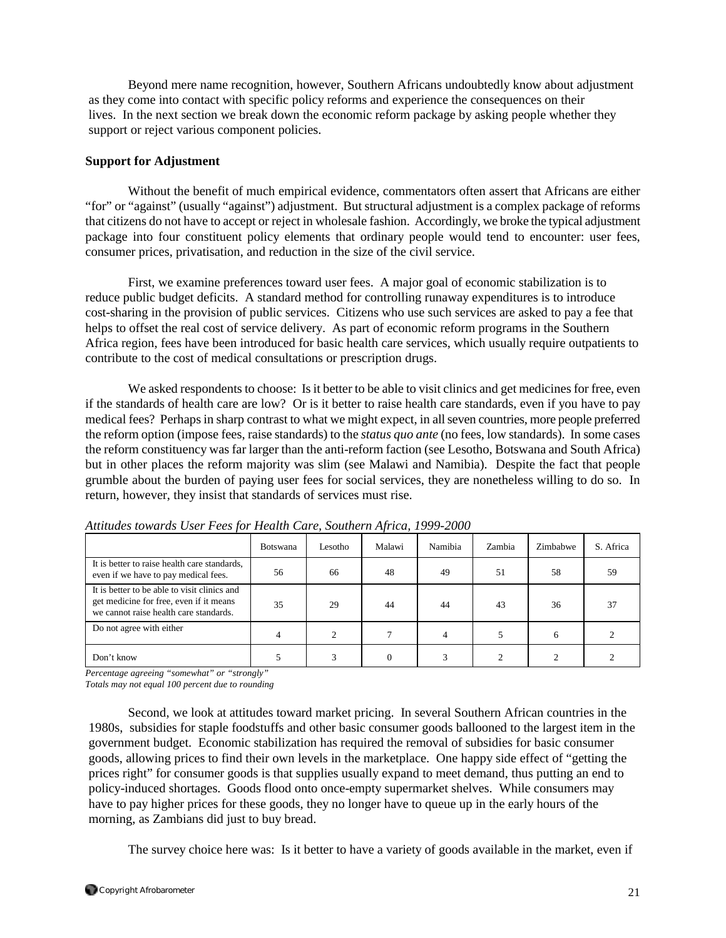Beyond mere name recognition, however, Southern Africans undoubtedly know about adjustment as they come into contact with specific policy reforms and experience the consequences on their lives. In the next section we break down the economic reform package by asking people whether they support or reject various component policies.

#### **Support for Adjustment**

Without the benefit of much empirical evidence, commentators often assert that Africans are either "for" or "against" (usually "against") adjustment. But structural adjustment is a complex package of reforms that citizens do not have to accept or reject in wholesale fashion. Accordingly, we broke the typical adjustment package into four constituent policy elements that ordinary people would tend to encounter: user fees, consumer prices, privatisation, and reduction in the size of the civil service.

First, we examine preferences toward user fees. A major goal of economic stabilization is to reduce public budget deficits. A standard method for controlling runaway expenditures is to introduce cost-sharing in the provision of public services. Citizens who use such services are asked to pay a fee that helps to offset the real cost of service delivery. As part of economic reform programs in the Southern Africa region, fees have been introduced for basic health care services, which usually require outpatients to contribute to the cost of medical consultations or prescription drugs.

We asked respondents to choose: Is it better to be able to visit clinics and get medicines for free, even if the standards of health care are low? Or is it better to raise health care standards, even if you have to pay medical fees? Perhaps in sharp contrast to what we might expect, in all seven countries, more people preferred the reform option (impose fees, raise standards) to the *status quo ante* (no fees, low standards). In some cases the reform constituency was far larger than the anti-reform faction (see Lesotho, Botswana and South Africa) but in other places the reform majority was slim (see Malawi and Namibia). Despite the fact that people grumble about the burden of paying user fees for social services, they are nonetheless willing to do so. In return, however, they insist that standards of services must rise.

|                                                                                                                                   | <b>Botswana</b> | Lesotho | Malawi | Namibia | Zambia | Zimbabwe | S. Africa |
|-----------------------------------------------------------------------------------------------------------------------------------|-----------------|---------|--------|---------|--------|----------|-----------|
| It is better to raise health care standards,<br>even if we have to pay medical fees.                                              | 56              | 66      | 48     | 49      | 51     | 58       | 59        |
| It is better to be able to visit clinics and<br>get medicine for free, even if it means<br>we cannot raise health care standards. | 35              | 29      | 44     | 44      | 43     | 36       | 37        |
| Do not agree with either                                                                                                          |                 |         |        | 4       |        | h        |           |
| Don't know                                                                                                                        |                 |         |        |         |        |          |           |

*Attitudes towards User Fees for Health Care, Southern Africa, 1999-2000*

*Percentage agreeing "somewhat" or "strongly"* 

*Totals may not equal 100 percent due to rounding* 

Second, we look at attitudes toward market pricing. In several Southern African countries in the 1980s, subsidies for staple foodstuffs and other basic consumer goods ballooned to the largest item in the government budget. Economic stabilization has required the removal of subsidies for basic consumer goods, allowing prices to find their own levels in the marketplace. One happy side effect of "getting the prices right" for consumer goods is that supplies usually expand to meet demand, thus putting an end to policy-induced shortages. Goods flood onto once-empty supermarket shelves. While consumers may have to pay higher prices for these goods, they no longer have to queue up in the early hours of the morning, as Zambians did just to buy bread.

The survey choice here was: Is it better to have a variety of goods available in the market, even if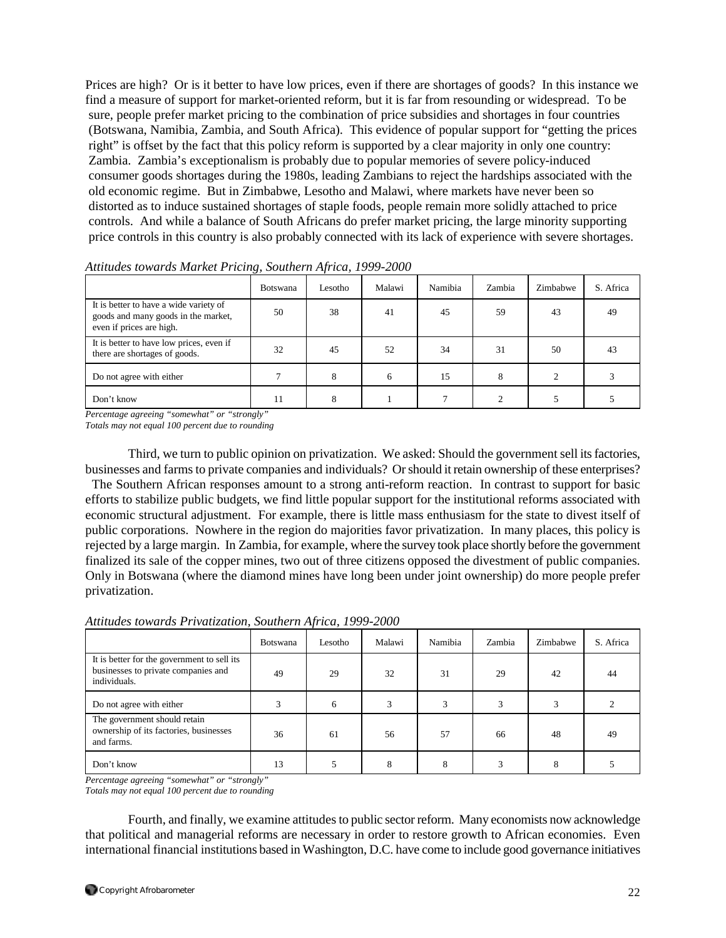Prices are high? Or is it better to have low prices, even if there are shortages of goods? In this instance we find a measure of support for market-oriented reform, but it is far from resounding or widespread. To be sure, people prefer market pricing to the combination of price subsidies and shortages in four countries (Botswana, Namibia, Zambia, and South Africa). This evidence of popular support for "getting the prices right" is offset by the fact that this policy reform is supported by a clear majority in only one country: Zambia. Zambia's exceptionalism is probably due to popular memories of severe policy-induced consumer goods shortages during the 1980s, leading Zambians to reject the hardships associated with the old economic regime. But in Zimbabwe, Lesotho and Malawi, where markets have never been so distorted as to induce sustained shortages of staple foods, people remain more solidly attached to price controls. And while a balance of South Africans do prefer market pricing, the large minority supporting price controls in this country is also probably connected with its lack of experience with severe shortages.

|                                                                                                           | <b>Botswana</b> | Lesotho | Malawi | Namibia | Zambia | Zimbabwe | S. Africa |
|-----------------------------------------------------------------------------------------------------------|-----------------|---------|--------|---------|--------|----------|-----------|
| It is better to have a wide variety of<br>goods and many goods in the market,<br>even if prices are high. | 50              | 38      | 41     | 45      | 59     | 43       | 49        |
| It is better to have low prices, even if<br>there are shortages of goods.                                 | 32              | 45      | 52     | 34      | 31     | 50       | 43        |
| Do not agree with either                                                                                  |                 | 8       | 6      | 15      | 8      |          |           |
| Don't know                                                                                                | 11              | 8       |        |         |        |          |           |

*Attitudes towards Market Pricing, Southern Africa, 1999-2000*

*Percentage agreeing "somewhat" or "strongly"* 

*Totals may not equal 100 percent due to rounding* 

Third, we turn to public opinion on privatization. We asked: Should the government sell its factories, businesses and farms to private companies and individuals? Or should it retain ownership of these enterprises? The Southern African responses amount to a strong anti-reform reaction. In contrast to support for basic efforts to stabilize public budgets, we find little popular support for the institutional reforms associated with economic structural adjustment. For example, there is little mass enthusiasm for the state to divest itself of public corporations. Nowhere in the region do majorities favor privatization. In many places, this policy is rejected by a large margin. In Zambia, for example, where the survey took place shortly before the government finalized its sale of the copper mines, two out of three citizens opposed the divestment of public companies. Only in Botswana (where the diamond mines have long been under joint ownership) do more people prefer privatization.

| Attitudes towards Privatization, Southern Africa, 1999-2000 |  |  |
|-------------------------------------------------------------|--|--|
|-------------------------------------------------------------|--|--|

|                                                                                                    | <b>Botswana</b> | Lesotho | Malawi | Namibia | Zambia | Zimbabwe | S. Africa |
|----------------------------------------------------------------------------------------------------|-----------------|---------|--------|---------|--------|----------|-----------|
| It is better for the government to sell its<br>businesses to private companies and<br>individuals. | 49              | 29      | 32     | 31      | 29     | 42       | 44        |
| Do not agree with either                                                                           |                 | 6       |        |         |        | 3        |           |
| The government should retain<br>ownership of its factories, businesses<br>and farms.               | 36              | 61      | 56     | 57      | 66     | 48       | 49        |
| Don't know                                                                                         | 13              |         | 8      | 8       |        | 8        |           |

*Percentage agreeing "somewhat" or "strongly"* 

*Totals may not equal 100 percent due to rounding* 

Fourth, and finally, we examine attitudes to public sector reform. Many economists now acknowledge that political and managerial reforms are necessary in order to restore growth to African economies. Even international financial institutions based in Washington, D.C. have come to include good governance initiatives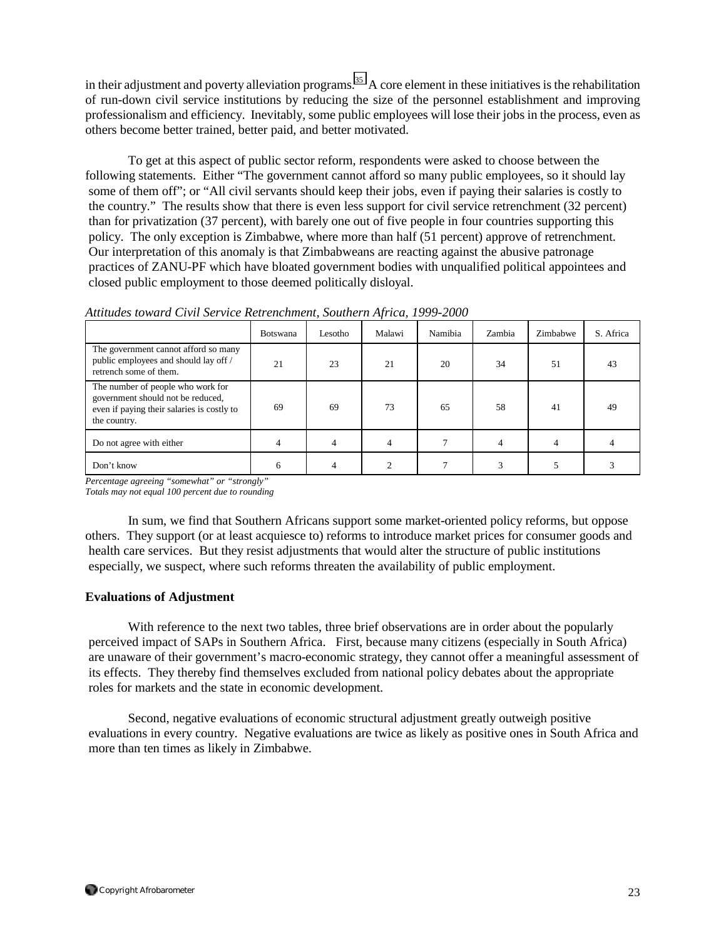in their adjustment and poverty alleviation programs.<sup>35</sup> A core element in these initiatives is the rehabilitation of run-down civil service institutions by reducing the size of the personnel establishment and improving professionalism and efficiency. Inevitably, some public employees will lose their jobs in the process, even as others become better trained, better paid, and better motivated.

 To get at this aspect of public sector reform, respondents were asked to choose between the following statements. Either "The government cannot afford so many public employees, so it should lay some of them off"; or "All civil servants should keep their jobs, even if paying their salaries is costly to the country." The results show that there is even less support for civil service retrenchment (32 percent) than for privatization (37 percent), with barely one out of five people in four countries supporting this policy. The only exception is Zimbabwe, where more than half (51 percent) approve of retrenchment. Our interpretation of this anomaly is that Zimbabweans are reacting against the abusive patronage practices of ZANU-PF which have bloated government bodies with unqualified political appointees and closed public employment to those deemed politically disloyal.

|                                                                                                                                      | Botswana | Lesotho | Malawi | Namibia | Zambia | Zimbabwe | S. Africa |
|--------------------------------------------------------------------------------------------------------------------------------------|----------|---------|--------|---------|--------|----------|-----------|
| The government cannot afford so many<br>public employees and should lay off /<br>retrench some of them.                              | 21       | 23      | 21     | 20      | 34     | 51       | 43        |
| The number of people who work for<br>government should not be reduced,<br>even if paying their salaries is costly to<br>the country. | 69       | 69      | 73     | 65      | 58     | 41       | 49        |

*Attitudes toward Civil Service Retrenchment, Southern Africa, 1999-2000*

*Percentage agreeing "somewhat" or "strongly"* 

*Totals may not equal 100 percent due to rounding* 

 In sum, we find that Southern Africans support some market-oriented policy reforms, but oppose others. They support (or at least acquiesce to) reforms to introduce market prices for consumer goods and health care services. But they resist adjustments that would alter the structure of public institutions especially, we suspect, where such reforms threaten the availability of public employment.

Do not agree with either 4 4 4 7 4 4 4

Don't know 6 6 4 2 7 3 5 3

### **Evaluations of Adjustment**

 With reference to the next two tables, three brief observations are in order about the popularly perceived impact of SAPs in Southern Africa. First, because many citizens (especially in South Africa) are unaware of their government's macro-economic strategy, they cannot offer a meaningful assessment of its effects. They thereby find themselves excluded from national policy debates about the appropriate roles for markets and the state in economic development.

 Second, negative evaluations of economic structural adjustment greatly outweigh positive evaluations in every country. Negative evaluations are twice as likely as positive ones in South Africa and more than ten times as likely in Zimbabwe.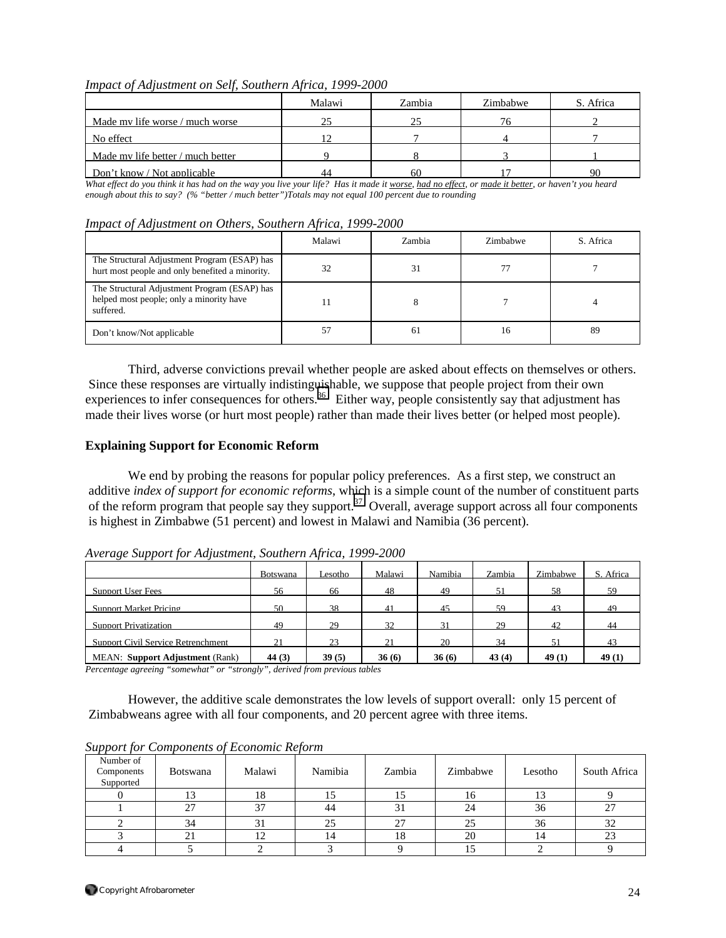|  |  | Impact of Adjustment on Self, Southern Africa, 1999-2000 |
|--|--|----------------------------------------------------------|
|  |  |                                                          |

|                                   | Malawi | Zambia | Zimbabwe | S. Africa |
|-----------------------------------|--------|--------|----------|-----------|
| Made my life worse / much worse   | 25     | 25     |          |           |
| No effect                         | 1 ೧    |        |          |           |
| Made my life better / much better |        |        |          |           |
| Don't know / Not applicable       | 44     | 60     |          | Q(        |

*What effect do you think it has had on the way you live your life? Has it made it worse, had no effect, or made it better, or haven't you heard enough about this to say? (% "better / much better")Totals may not equal 100 percent due to rounding* 

|  |  |  |  | Impact of Adjustment on Others, Southern Africa, 1999-2000 |
|--|--|--|--|------------------------------------------------------------|
|  |  |  |  |                                                            |

|                                                                                                       | Malawi | Zambia | Zimbabwe | S. Africa |
|-------------------------------------------------------------------------------------------------------|--------|--------|----------|-----------|
| The Structural Adjustment Program (ESAP) has<br>hurt most people and only benefited a minority.       | 32     | 31     |          |           |
| The Structural Adjustment Program (ESAP) has<br>helped most people; only a minority have<br>suffered. |        |        |          |           |
| Don't know/Not applicable                                                                             | 57     | 61     | 16       | 89        |

Third, adverse convictions prevail whether people are asked about effects on themselves or others. Since these responses are virtually indistinguishable, we suppose that people project from their own experiences to infer consequences for others.<sup>36</sup> Either way, people consistently say that adjustment has made their lives worse (or hurt most people) rather than made their lives better (or helped most people).

### **Explaining Support for Economic Reform**

We end by probing the reasons for popular policy preferences. As a first step, we construct an additive *index of support for economic reforms*, which is a simple count of the number of constituent parts of the reform program that people say they support.<sup>37</sup> Overall, average support across all four components is highest in Zimbabwe (51 percent) and lowest in Malawi and Namibia (36 percent).

|                                         | Botswana | Lesotho- | Malawi | Namibia | Zambia | Zimbabwe | Africa<br>S. |
|-----------------------------------------|----------|----------|--------|---------|--------|----------|--------------|
| Support User Fees                       | 56       | 66       | 48     | 49      | 51     | 58       | 59           |
| Support Market Pricing                  | 50       | 38       | 41     | 45      | 59     | 43       | 49           |
| <b>Support Privatization</b>            | 49       | 29       | 32     | 31      | 29     | 42       | 44           |
| Support Civil Service Retrenchment      | 21       | 23       | 21     | 20      | 34     |          | 43           |
| <b>MEAN</b> : Support Adjustment (Rank) | 44 $(3)$ | 39(5)    | 36(6)  | 36(6)   | 43(4)  | 49(1)    | 49(1)        |

*Average Support for Adjustment, Southern Africa, 1999-2000*

*Percentage agreeing "somewhat" or "strongly", derived from previous tables* 

 However, the additive scale demonstrates the low levels of support overall: only 15 percent of Zimbabweans agree with all four components, and 20 percent agree with three items.

| Number of<br>Components<br>Supported | <b>Botswana</b> | Malawi | Namibia | Zambia | Zimbabwe | Lesotho | South Africa |
|--------------------------------------|-----------------|--------|---------|--------|----------|---------|--------------|
|                                      | L J             | 10     |         | ن 1    | 10       |         |              |
|                                      | 27              | 37     | 44      | 31     | 24       | 36      | 27           |
|                                      | 34              |        |         | 27     |          | 36      | 32           |
|                                      | 21              |        | 14      | 18     | 20       |         | 23           |
|                                      |                 |        |         |        |          |         |              |

*Support for Components of Economic Reform*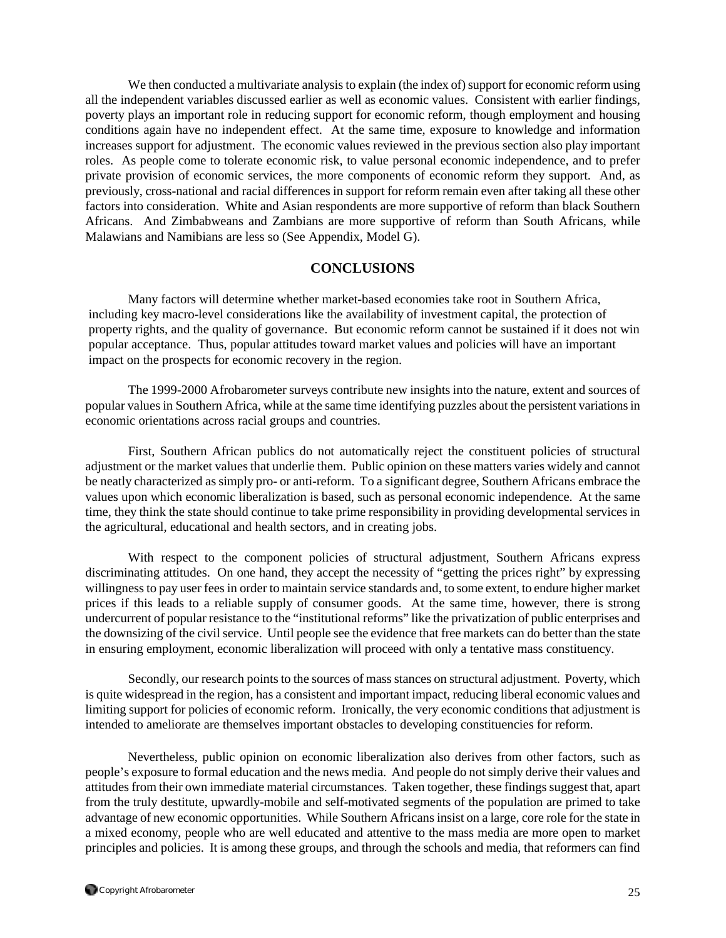We then conducted a multivariate analysis to explain (the index of) support for economic reform using all the independent variables discussed earlier as well as economic values. Consistent with earlier findings, poverty plays an important role in reducing support for economic reform, though employment and housing conditions again have no independent effect. At the same time, exposure to knowledge and information increases support for adjustment. The economic values reviewed in the previous section also play important roles. As people come to tolerate economic risk, to value personal economic independence, and to prefer private provision of economic services, the more components of economic reform they support. And, as previously, cross-national and racial differences in support for reform remain even after taking all these other factors into consideration. White and Asian respondents are more supportive of reform than black Southern Africans. And Zimbabweans and Zambians are more supportive of reform than South Africans, while Malawians and Namibians are less so (See Appendix, Model G).

### **CONCLUSIONS**

 Many factors will determine whether market-based economies take root in Southern Africa, including key macro-level considerations like the availability of investment capital, the protection of property rights, and the quality of governance. But economic reform cannot be sustained if it does not win popular acceptance. Thus, popular attitudes toward market values and policies will have an important impact on the prospects for economic recovery in the region.

 The 1999-2000 Afrobarometer surveys contribute new insights into the nature, extent and sources of popular values in Southern Africa, while at the same time identifying puzzles about the persistent variations in economic orientations across racial groups and countries.

 First, Southern African publics do not automatically reject the constituent policies of structural adjustment or the market values that underlie them. Public opinion on these matters varies widely and cannot be neatly characterized as simply pro- or anti-reform. To a significant degree, Southern Africans embrace the values upon which economic liberalization is based, such as personal economic independence. At the same time, they think the state should continue to take prime responsibility in providing developmental services in the agricultural, educational and health sectors, and in creating jobs.

 With respect to the component policies of structural adjustment, Southern Africans express discriminating attitudes. On one hand, they accept the necessity of "getting the prices right" by expressing willingness to pay user fees in order to maintain service standards and, to some extent, to endure higher market prices if this leads to a reliable supply of consumer goods. At the same time, however, there is strong undercurrent of popular resistance to the "institutional reforms" like the privatization of public enterprises and the downsizing of the civil service. Until people see the evidence that free markets can do better than the state in ensuring employment, economic liberalization will proceed with only a tentative mass constituency.

Secondly, our research points to the sources of mass stances on structural adjustment. Poverty, which is quite widespread in the region, has a consistent and important impact, reducing liberal economic values and limiting support for policies of economic reform. Ironically, the very economic conditions that adjustment is intended to ameliorate are themselves important obstacles to developing constituencies for reform.

Nevertheless, public opinion on economic liberalization also derives from other factors, such as people's exposure to formal education and the news media. And people do not simply derive their values and attitudes from their own immediate material circumstances. Taken together, these findings suggest that, apart from the truly destitute, upwardly-mobile and self-motivated segments of the population are primed to take advantage of new economic opportunities. While Southern Africans insist on a large, core role for the state in a mixed economy, people who are well educated and attentive to the mass media are more open to market principles and policies. It is among these groups, and through the schools and media, that reformers can find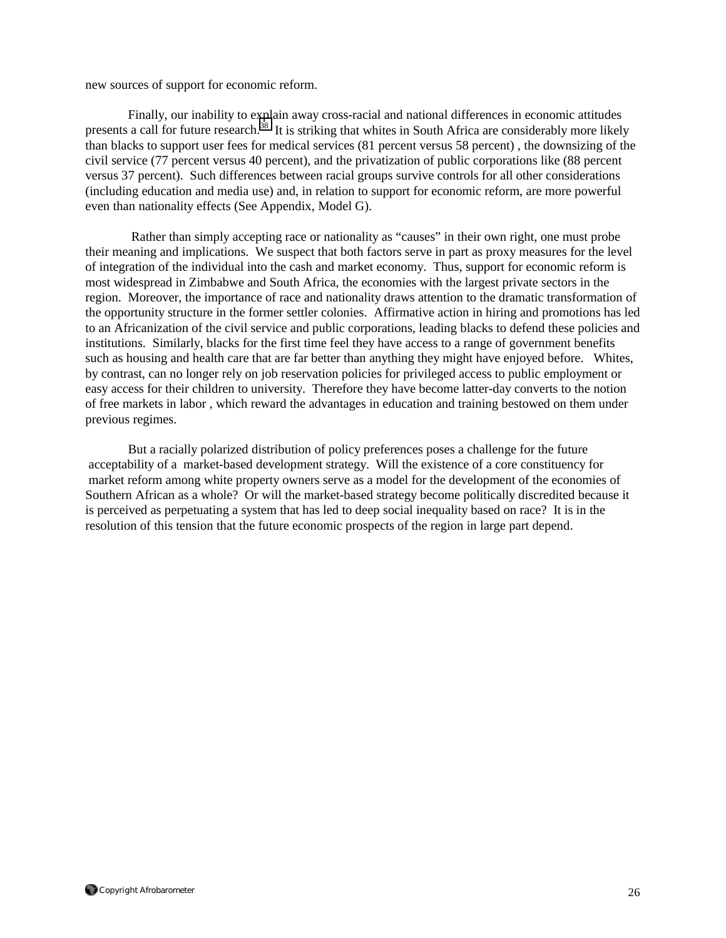new sources of support for economic reform.

 Finally, our inability to explain away cross-racial and national differences in economic attitudes presents a call for future research.<sup>38</sup> It is striking that whites in South Africa are considerably more likely than blacks to support user fees for medical services (81 percent versus 58 percent) , the downsizing of the civil service (77 percent versus 40 percent), and the privatization of public corporations like (88 percent versus 37 percent). Such differences between racial groups survive controls for all other considerations (including education and media use) and, in relation to support for economic reform, are more powerful even than nationality effects (See Appendix, Model G).

 Rather than simply accepting race or nationality as "causes" in their own right, one must probe their meaning and implications. We suspect that both factors serve in part as proxy measures for the level of integration of the individual into the cash and market economy. Thus, support for economic reform is most widespread in Zimbabwe and South Africa, the economies with the largest private sectors in the region. Moreover, the importance of race and nationality draws attention to the dramatic transformation of the opportunity structure in the former settler colonies. Affirmative action in hiring and promotions has led to an Africanization of the civil service and public corporations, leading blacks to defend these policies and institutions. Similarly, blacks for the first time feel they have access to a range of government benefits such as housing and health care that are far better than anything they might have enjoyed before. Whites, by contrast, can no longer rely on job reservation policies for privileged access to public employment or easy access for their children to university. Therefore they have become latter-day converts to the notion of free markets in labor , which reward the advantages in education and training bestowed on them under previous regimes.

 But a racially polarized distribution of policy preferences poses a challenge for the future acceptability of a market-based development strategy. Will the existence of a core constituency for market reform among white property owners serve as a model for the development of the economies of Southern African as a whole? Or will the market-based strategy become politically discredited because it is perceived as perpetuating a system that has led to deep social inequality based on race? It is in the resolution of this tension that the future economic prospects of the region in large part depend.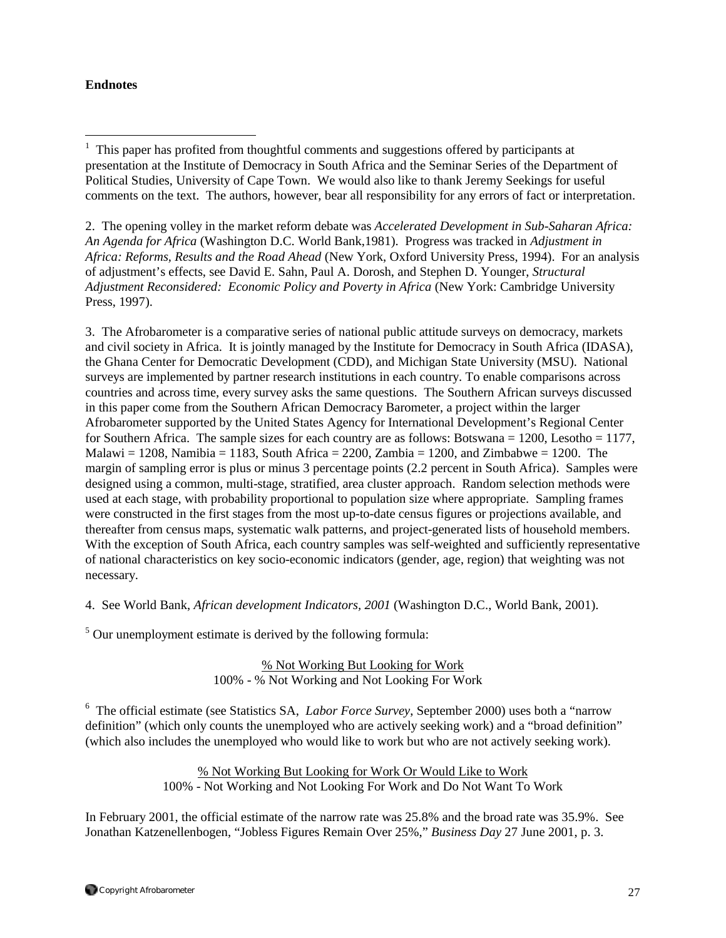## **Endnotes**

 $\overline{a}$ 

1 This paper has profited from thoughtful comments and suggestions offered by participants at presentation at the Institute of Democracy in South Africa and the Seminar Series of the Department of Political Studies, University of Cape Town. We would also like to thank Jeremy Seekings for useful comments on the text. The authors, however, bear all responsibility for any errors of fact or interpretation.

2. The opening volley in the market reform debate was *Accelerated Development in Sub-Saharan Africa: An Agenda for Africa* (Washington D.C. World Bank,1981). Progress was tracked in *Adjustment in Africa: Reforms, Results and the Road Ahead* (New York, Oxford University Press, 1994). For an analysis of adjustment's effects, see David E. Sahn, Paul A. Dorosh, and Stephen D. Younger, *Structural Adjustment Reconsidered: Economic Policy and Poverty in Africa* (New York: Cambridge University Press, 1997).

3. The Afrobarometer is a comparative series of national public attitude surveys on democracy, markets and civil society in Africa. It is jointly managed by the Institute for Democracy in South Africa (IDASA), the Ghana Center for Democratic Development (CDD), and Michigan State University (MSU). National surveys are implemented by partner research institutions in each country. To enable comparisons across countries and across time, every survey asks the same questions. The Southern African surveys discussed in this paper come from the Southern African Democracy Barometer, a project within the larger Afrobarometer supported by the United States Agency for International Development's Regional Center for Southern Africa. The sample sizes for each country are as follows: Botswana = 1200, Lesotho = 1177, Malawi = 1208, Namibia = 1183, South Africa = 2200, Zambia = 1200, and Zimbabwe = 1200. The margin of sampling error is plus or minus 3 percentage points (2.2 percent in South Africa). Samples were designed using a common, multi-stage, stratified, area cluster approach. Random selection methods were used at each stage, with probability proportional to population size where appropriate. Sampling frames were constructed in the first stages from the most up-to-date census figures or projections available, and thereafter from census maps, systematic walk patterns, and project-generated lists of household members. With the exception of South Africa, each country samples was self-weighted and sufficiently representative of national characteristics on key socio-economic indicators (gender, age, region) that weighting was not necessary.

4. See World Bank, *African development Indicators, 2001* (Washington D.C., World Bank, 2001).

 $5$  Our unemployment estimate is derived by the following formula:

% Not Working But Looking for Work 100% - % Not Working and Not Looking For Work

6 The official estimate (see Statistics SA, *Labor Force Survey*, September 2000) uses both a "narrow definition" (which only counts the unemployed who are actively seeking work) and a "broad definition" (which also includes the unemployed who would like to work but who are not actively seeking work).

> % Not Working But Looking for Work Or Would Like to Work 100% - Not Working and Not Looking For Work and Do Not Want To Work

In February 2001, the official estimate of the narrow rate was 25.8% and the broad rate was 35.9%. See Jonathan Katzenellenbogen, "Jobless Figures Remain Over 25%," *Business Day* 27 June 2001, p. 3.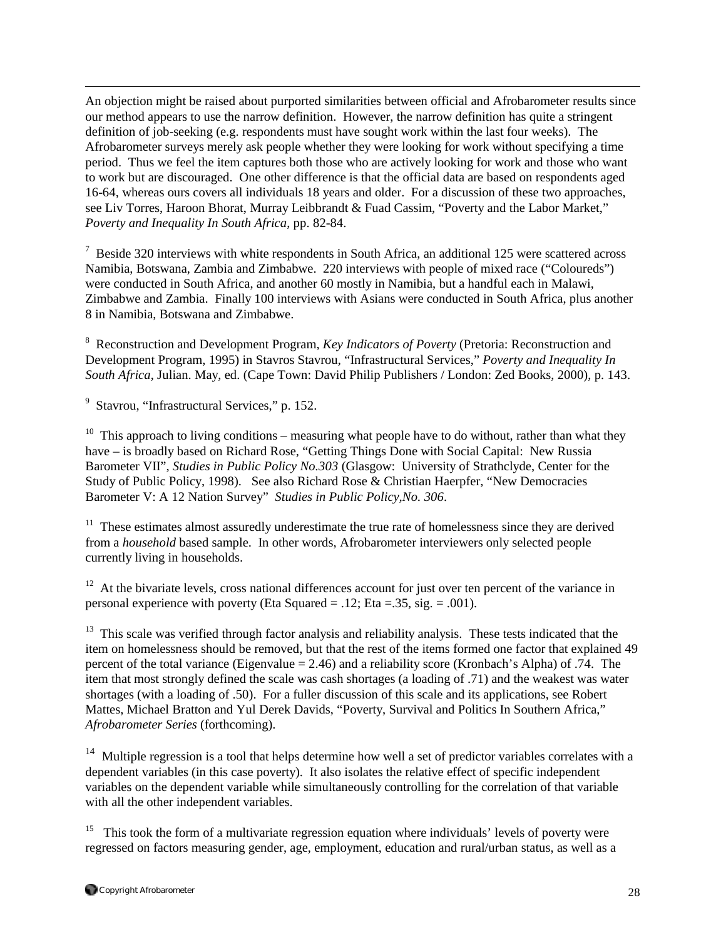An objection might be raised about purported similarities between official and Afrobarometer results since our method appears to use the narrow definition. However, the narrow definition has quite a stringent definition of job-seeking (e.g. respondents must have sought work within the last four weeks). The Afrobarometer surveys merely ask people whether they were looking for work without specifying a time period. Thus we feel the item captures both those who are actively looking for work and those who want to work but are discouraged. One other difference is that the official data are based on respondents aged 16-64, whereas ours covers all individuals 18 years and older. For a discussion of these two approaches, see Liv Torres, Haroon Bhorat, Murray Leibbrandt & Fuad Cassim, "Poverty and the Labor Market," *Poverty and Inequality In South Africa*, pp. 82-84.

 $7$  Beside 320 interviews with white respondents in South Africa, an additional 125 were scattered across Namibia, Botswana, Zambia and Zimbabwe. 220 interviews with people of mixed race ("Coloureds") were conducted in South Africa, and another 60 mostly in Namibia, but a handful each in Malawi, Zimbabwe and Zambia. Finally 100 interviews with Asians were conducted in South Africa, plus another 8 in Namibia, Botswana and Zimbabwe.

8 Reconstruction and Development Program, *Key Indicators of Poverty* (Pretoria: Reconstruction and Development Program, 1995) in Stavros Stavrou, "Infrastructural Services," *Poverty and Inequality In South Africa*, Julian. May, ed. (Cape Town: David Philip Publishers / London: Zed Books, 2000), p. 143.

<sup>9</sup> Stavrou, "Infrastructural Services," p. 152.

 $\overline{a}$ 

<sup>10</sup> This approach to living conditions – measuring what people have to do without, rather than what they have – is broadly based on Richard Rose, "Getting Things Done with Social Capital: New Russia Barometer VII", *Studies in Public Policy No.303* (Glasgow: University of Strathclyde, Center for the Study of Public Policy, 1998). See also Richard Rose & Christian Haerpfer, "New Democracies Barometer V: A 12 Nation Survey" *Studies in Public Policy,No. 306*.

<sup>11</sup> These estimates almost assuredly underestimate the true rate of homelessness since they are derived from a *household* based sample. In other words, Afrobarometer interviewers only selected people currently living in households.

 $12$  At the bivariate levels, cross national differences account for just over ten percent of the variance in personal experience with poverty (Eta Squared = .12; Eta = .35, sig. = .001).

<sup>13</sup> This scale was verified through factor analysis and reliability analysis. These tests indicated that the item on homelessness should be removed, but that the rest of the items formed one factor that explained 49 percent of the total variance (Eigenvalue = 2.46) and a reliability score (Kronbach's Alpha) of .74. The item that most strongly defined the scale was cash shortages (a loading of .71) and the weakest was water shortages (with a loading of .50). For a fuller discussion of this scale and its applications, see Robert Mattes, Michael Bratton and Yul Derek Davids, "Poverty, Survival and Politics In Southern Africa," *Afrobarometer Series* (forthcoming).

<sup>14</sup> Multiple regression is a tool that helps determine how well a set of predictor variables correlates with a dependent variables (in this case poverty). It also isolates the relative effect of specific independent variables on the dependent variable while simultaneously controlling for the correlation of that variable with all the other independent variables.

 $15$  This took the form of a multivariate regression equation where individuals' levels of poverty were regressed on factors measuring gender, age, employment, education and rural/urban status, as well as a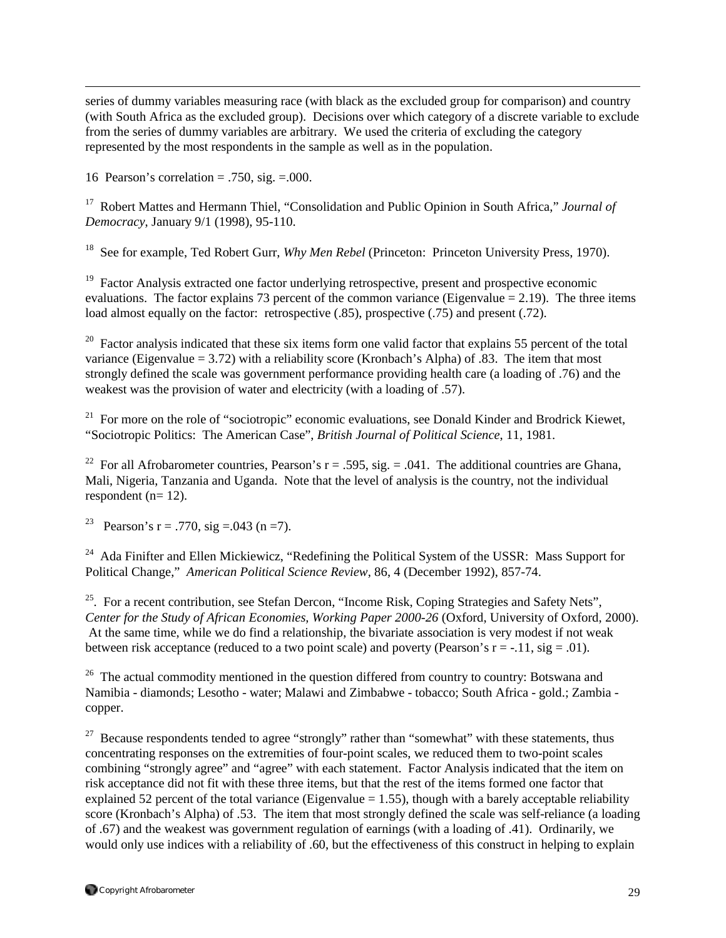series of dummy variables measuring race (with black as the excluded group for comparison) and country (with South Africa as the excluded group). Decisions over which category of a discrete variable to exclude from the series of dummy variables are arbitrary. We used the criteria of excluding the category represented by the most respondents in the sample as well as in the population.

16 Pearson's correlation = .750, sig. = .000.

 $\overline{a}$ 

17 Robert Mattes and Hermann Thiel, "Consolidation and Public Opinion in South Africa," *Journal of Democracy*, January 9/1 (1998), 95-110.

<sup>18</sup> See for example, Ted Robert Gurr, *Why Men Rebel* (Princeton: Princeton University Press, 1970).

<sup>19</sup> Factor Analysis extracted one factor underlying retrospective, present and prospective economic evaluations. The factor explains 73 percent of the common variance (Eigenvalue  $= 2.19$ ). The three items load almost equally on the factor: retrospective (.85), prospective (.75) and present (.72).

<sup>20</sup> Factor analysis indicated that these six items form one valid factor that explains 55 percent of the total variance (Eigenvalue  $= 3.72$ ) with a reliability score (Kronbach's Alpha) of .83. The item that most strongly defined the scale was government performance providing health care (a loading of .76) and the weakest was the provision of water and electricity (with a loading of .57).

<sup>21</sup> For more on the role of "sociotropic" economic evaluations, see Donald Kinder and Brodrick Kiewet, "Sociotropic Politics: The American Case", *British Journal of Political Science*, 11, 1981.

<sup>22</sup> For all Afrobarometer countries, Pearson's  $r = .595$ , sig. = .041. The additional countries are Ghana, Mali, Nigeria, Tanzania and Uganda. Note that the level of analysis is the country, not the individual respondent (n= 12).

<sup>23</sup> Pearson's r = .770, sig = .043 (n = 7).

<sup>24</sup> Ada Finifter and Ellen Mickiewicz, "Redefining the Political System of the USSR: Mass Support for Political Change," *American Political Science Review*, 86, 4 (December 1992), 857-74.

<sup>25</sup>. For a recent contribution, see Stefan Dercon, "Income Risk, Coping Strategies and Safety Nets", *Center for the Study of African Economies, Working Paper 2000-26* (Oxford, University of Oxford, 2000). At the same time, while we do find a relationship, the bivariate association is very modest if not weak between risk acceptance (reduced to a two point scale) and poverty (Pearson's  $r = -11$ , sig = .01).

<sup>26</sup> The actual commodity mentioned in the question differed from country to country: Botswana and Namibia - diamonds; Lesotho - water; Malawi and Zimbabwe - tobacco; South Africa - gold.; Zambia copper.

<sup>27</sup> Because respondents tended to agree "strongly" rather than "somewhat" with these statements, thus concentrating responses on the extremities of four-point scales, we reduced them to two-point scales combining "strongly agree" and "agree" with each statement. Factor Analysis indicated that the item on risk acceptance did not fit with these three items, but that the rest of the items formed one factor that explained 52 percent of the total variance (Eigenvalue  $= 1.55$ ), though with a barely acceptable reliability score (Kronbach's Alpha) of .53. The item that most strongly defined the scale was self-reliance (a loading of .67) and the weakest was government regulation of earnings (with a loading of .41). Ordinarily, we would only use indices with a reliability of .60, but the effectiveness of this construct in helping to explain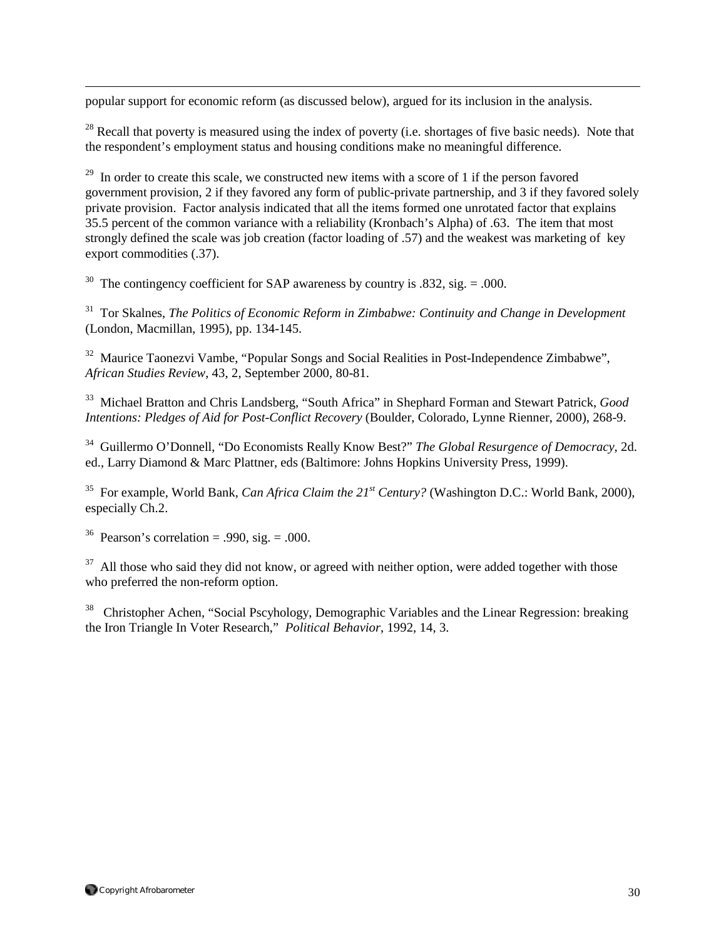popular support for economic reform (as discussed below), argued for its inclusion in the analysis.

 $^{28}$  Recall that poverty is measured using the index of poverty (i.e. shortages of five basic needs). Note that the respondent's employment status and housing conditions make no meaningful difference.

 $29$  In order to create this scale, we constructed new items with a score of 1 if the person favored government provision, 2 if they favored any form of public-private partnership, and 3 if they favored solely private provision. Factor analysis indicated that all the items formed one unrotated factor that explains 35.5 percent of the common variance with a reliability (Kronbach's Alpha) of .63. The item that most strongly defined the scale was job creation (factor loading of .57) and the weakest was marketing of key export commodities (.37).

<sup>30</sup> The contingency coefficient for SAP awareness by country is .832, sig.  $= .000$ .

<sup>31</sup> Tor Skalnes, *The Politics of Economic Reform in Zimbabwe: Continuity and Change in Development* (London, Macmillan, 1995), pp. 134-145.

<sup>32</sup> Maurice Taonezvi Vambe, "Popular Songs and Social Realities in Post-Independence Zimbabwe", *African Studies Review*, 43, 2, September 2000, 80-81.

33 Michael Bratton and Chris Landsberg, "South Africa" in Shephard Forman and Stewart Patrick, *Good Intentions: Pledges of Aid for Post-Conflict Recovery* (Boulder, Colorado, Lynne Rienner, 2000), 268-9.

34 Guillermo O'Donnell, "Do Economists Really Know Best?" *The Global Resurgence of Democracy*, 2d. ed., Larry Diamond & Marc Plattner, eds (Baltimore: Johns Hopkins University Press, 1999).

35 For example, World Bank, *Can Africa Claim the 21st Century?* (Washington D.C.: World Bank, 2000), especially Ch.2.

<sup>36</sup> Pearson's correlation = .990, sig. = .000.

 $\overline{a}$ 

 $37$  All those who said they did not know, or agreed with neither option, were added together with those who preferred the non-reform option.

<sup>38</sup> Christopher Achen, "Social Pscyhology, Demographic Variables and the Linear Regression: breaking the Iron Triangle In Voter Research," *Political Behavior*, 1992, 14, 3.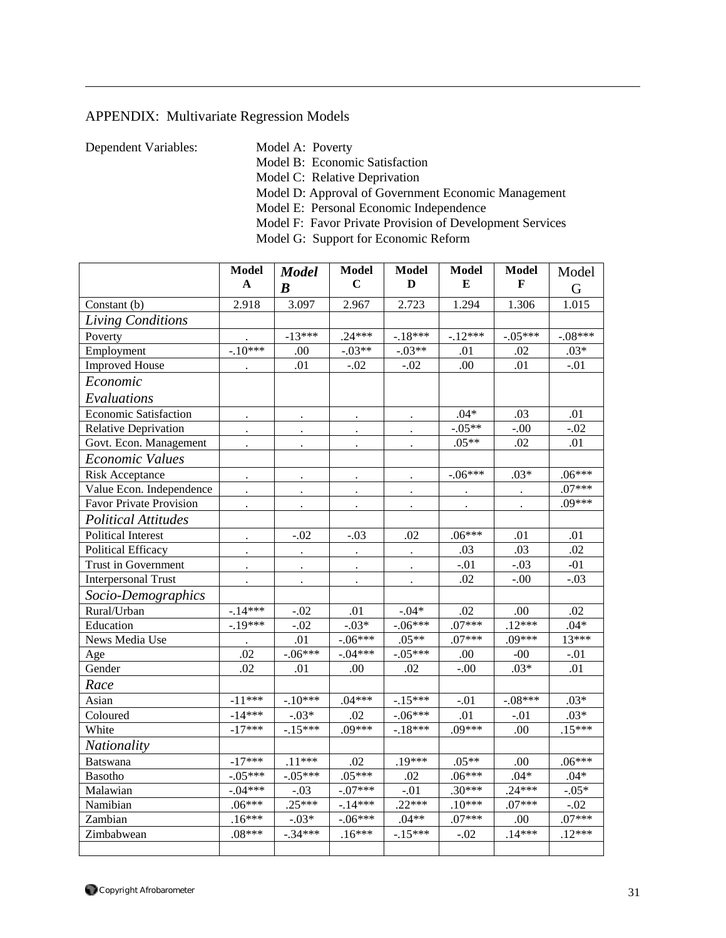# APPENDIX: Multivariate Regression Models

 $\overline{a}$ 

Dependent Variables: Model A: Poverty

Model B: Economic Satisfaction

Model C: Relative Deprivation

Model D: Approval of Government Economic Management

Model E: Personal Economic Independence

Model F: Favor Private Provision of Development Services

Model G: Support for Economic Reform

|                                | <b>Model</b><br>A | <b>Model</b><br>$\boldsymbol{B}$ | Model<br>$\mathbf C$ | Model<br>D | Model<br>E | Model<br>F | Model<br>G |
|--------------------------------|-------------------|----------------------------------|----------------------|------------|------------|------------|------------|
| Constant (b)                   | 2.918             | 3.097                            | 2.967                | 2.723      | 1.294      | 1.306      | 1.015      |
| Living Conditions              |                   |                                  |                      |            |            |            |            |
| Poverty                        |                   | $-13***$                         | $.24***$             | $-.18***$  | $-.12***$  | $-.05***$  | $-.08***$  |
| Employment                     | $-.10***$         | .00.                             | $-.03**$             | $-.03**$   | .01        | .02        | $.03*$     |
| <b>Improved House</b>          | $\bullet$         | .01                              | $-.02$               | $-.02$     | .00        | .01        | $-.01$     |
| Economic                       |                   |                                  |                      |            |            |            |            |
| Evaluations                    |                   |                                  |                      |            |            |            |            |
| <b>Economic Satisfaction</b>   |                   |                                  |                      |            | $.04*$     | .03        | .01        |
| <b>Relative Deprivation</b>    |                   |                                  | $\bullet$            | $\bullet$  | $-.05**$   | $-.00$     | $-.02$     |
| Govt. Econ. Management         |                   |                                  |                      |            | $.05**$    | .02        | .01        |
| Economic Values                |                   |                                  |                      |            |            |            |            |
| <b>Risk Acceptance</b>         |                   |                                  |                      |            | $-.06***$  | $.03*$     | $.06***$   |
| Value Econ. Independence       |                   |                                  |                      |            |            |            | $.07***$   |
| <b>Favor Private Provision</b> |                   |                                  |                      |            |            |            | .09***     |
| <b>Political Attitudes</b>     |                   |                                  |                      |            |            |            |            |
| <b>Political Interest</b>      |                   | $-.02$                           | $-.03$               | .02        | $.06***$   | .01        | .01        |
| <b>Political Efficacy</b>      |                   |                                  |                      |            | .03        | .03        | .02        |
| Trust in Government            |                   |                                  |                      |            | $-.01$     | $-.03$     | $-01$      |
| <b>Interpersonal Trust</b>     |                   |                                  |                      |            | .02        | $-.00$     | $-.03$     |
| Socio-Demographics             |                   |                                  |                      |            |            |            |            |
| Rural/Urban                    | $-.14***$         | $-.02$                           | .01                  | $-0.04*$   | .02        | .00.       | .02        |
| Education                      | $-.19***$         | $-.02$                           | $-.03*$              | $-.06***$  | $.07***$   | $.12***$   | $.04*$     |
| News Media Use                 |                   | .01                              | $-.06***$            | $.05**$    | $.07***$   | .09***     | $13***$    |
| Age                            | .02               | $-.06***$                        | $-.04***$            | $-.05***$  | .00        | $-00$      | -.01       |
| Gender                         | .02               | .01                              | .00                  | .02        | $-.00$     | $.03*$     | .01        |
| Race                           |                   |                                  |                      |            |            |            |            |
| Asian                          | $-11***$          | $-.10***$                        | $.04***$             | $-.15***$  | $-.01$     | $-.08***$  | $.03*$     |
| Coloured                       | $-14***$          | $-.03*$                          | .02                  | $-.06***$  | .01        | $-.01$     | $.03*$     |
| White                          | $-17***$          | $-.15***$                        | $.09***$             | $-.18***$  | $.09***$   | .00        | $.15***$   |
| Nationality                    |                   |                                  |                      |            |            |            |            |
| <b>Batswana</b>                | $-17***$          | $.11***$                         | .02                  | $.19***$   | $.05**$    | .00.       | $.06***$   |
| Basotho                        | $-.05***$         | $-.05***$                        | $.05***$             | .02        | $.06***$   | $.04*$     | $.04*$     |
| Malawian                       | $-.04***$         | $-.03$                           | $-.07***$            | $-.01$     | $.30***$   | $.24***$   | $-0.05*$   |
| Namibian                       | $.06***$          | $.25***$                         | $-14***$             | $.22***$   | $.10***$   | $.07***$   | $-.02$     |
| Zambian                        | $.16***$          | $-.03*$                          | $-.06***$            | $.04**$    | $.07***$   | .00        | $.07***$   |
| Zimbabwean                     | $.08***$          | $-.34***$                        | $.16***$             | $-.15***$  | $-.02$     | $.14***$   | $.12***$   |